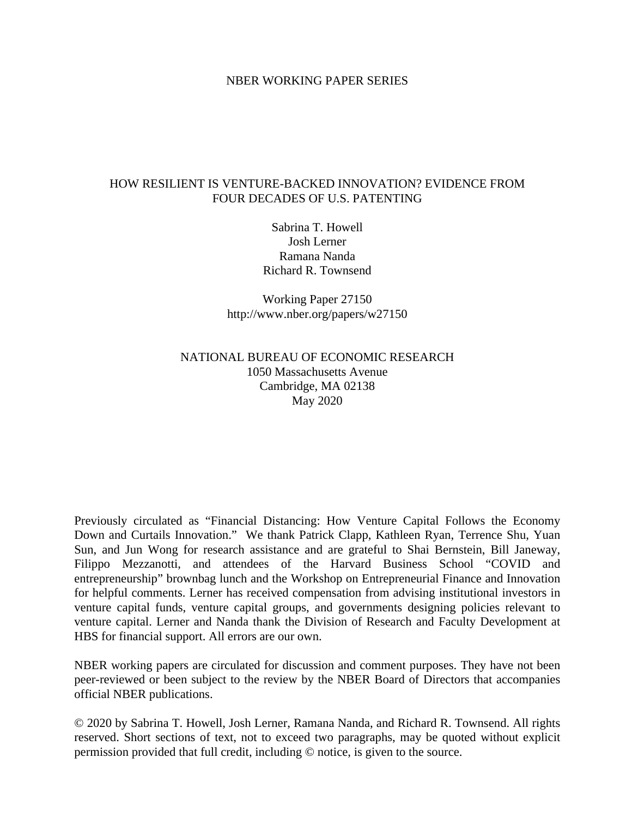### NBER WORKING PAPER SERIES

### HOW RESILIENT IS VENTURE-BACKED INNOVATION? EVIDENCE FROM FOUR DECADES OF U.S. PATENTING

Sabrina T. Howell Josh Lerner Ramana Nanda Richard R. Townsend

Working Paper 27150 http://www.nber.org/papers/w27150

# NATIONAL BUREAU OF ECONOMIC RESEARCH 1050 Massachusetts Avenue Cambridge, MA 02138 May 2020

Previously circulated as "Financial Distancing: How Venture Capital Follows the Economy Down and Curtails Innovation." We thank Patrick Clapp, Kathleen Ryan, Terrence Shu, Yuan Sun, and Jun Wong for research assistance and are grateful to Shai Bernstein, Bill Janeway, Filippo Mezzanotti, and attendees of the Harvard Business School "COVID and entrepreneurship" brownbag lunch and the Workshop on Entrepreneurial Finance and Innovation for helpful comments. Lerner has received compensation from advising institutional investors in venture capital funds, venture capital groups, and governments designing policies relevant to venture capital. Lerner and Nanda thank the Division of Research and Faculty Development at HBS for financial support. All errors are our own.

NBER working papers are circulated for discussion and comment purposes. They have not been peer-reviewed or been subject to the review by the NBER Board of Directors that accompanies official NBER publications.

© 2020 by Sabrina T. Howell, Josh Lerner, Ramana Nanda, and Richard R. Townsend. All rights reserved. Short sections of text, not to exceed two paragraphs, may be quoted without explicit permission provided that full credit, including © notice, is given to the source.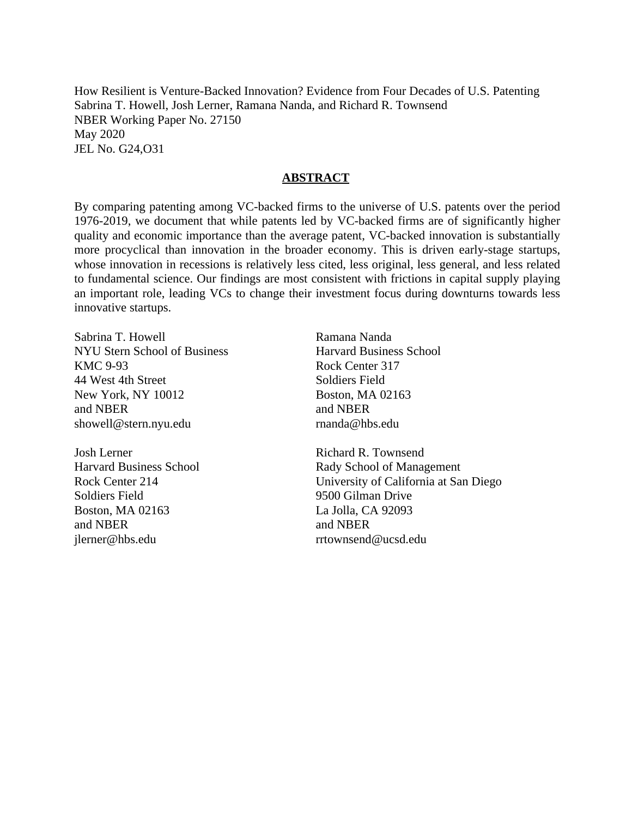How Resilient is Venture-Backed Innovation? Evidence from Four Decades of U.S. Patenting Sabrina T. Howell, Josh Lerner, Ramana Nanda, and Richard R. Townsend NBER Working Paper No. 27150 May 2020 JEL No. G24,O31

### **ABSTRACT**

By comparing patenting among VC-backed firms to the universe of U.S. patents over the period 1976-2019, we document that while patents led by VC-backed firms are of significantly higher quality and economic importance than the average patent, VC-backed innovation is substantially more procyclical than innovation in the broader economy. This is driven early-stage startups, whose innovation in recessions is relatively less cited, less original, less general, and less related to fundamental science. Our findings are most consistent with frictions in capital supply playing an important role, leading VCs to change their investment focus during downturns towards less innovative startups.

Sabrina T. Howell NYU Stern School of Business KMC 9-93 44 West 4th Street New York, NY 10012 and NBER showell@stern.nyu.edu

Josh Lerner Harvard Business School Rock Center 214 Soldiers Field Boston, MA 02163 and NBER jlerner@hbs.edu

Ramana Nanda Harvard Business School Rock Center 317 Soldiers Field Boston, MA 02163 and NBER rnanda@hbs.edu

Richard R. Townsend Rady School of Management University of California at San Diego 9500 Gilman Drive La Jolla, CA 92093 and NBER rrtownsend@ucsd.edu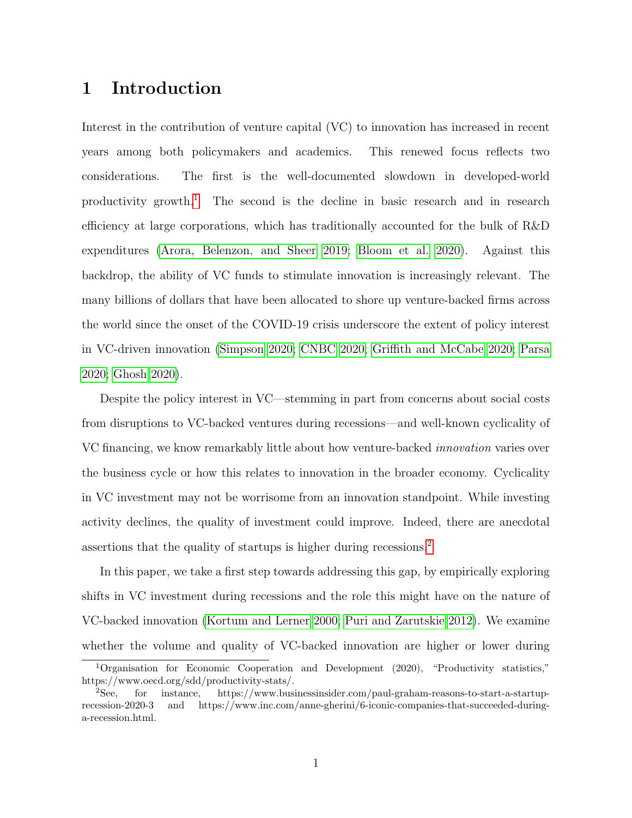# 1 Introduction

Interest in the contribution of venture capital (VC) to innovation has increased in recent years among both policymakers and academics. This renewed focus reflects two considerations. The first is the well-documented slowdown in developed-world productivity growth.<sup>[1](#page-2-0)</sup> The second is the decline in basic research and in research efficiency at large corporations, which has traditionally accounted for the bulk of R&D expenditures [\(Arora, Belenzon, and Sheer 2019;](#page-30-0) [Bloom et al. 2020\)](#page-31-0). Against this backdrop, the ability of VC funds to stimulate innovation is increasingly relevant. The many billions of dollars that have been allocated to shore up venture-backed firms across the world since the onset of the COVID-19 crisis underscore the extent of policy interest in VC-driven innovation [\(Simpson 2020;](#page-33-0) [CNBC 2020;](#page-31-1) [Griffith and McCabe 2020;](#page-31-2) [Parsa](#page-33-1) [2020;](#page-33-1) [Ghosh 2020\)](#page-31-3).

Despite the policy interest in VC—stemming in part from concerns about social costs from disruptions to VC-backed ventures during recessions—and well-known cyclicality of VC financing, we know remarkably little about how venture-backed innovation varies over the business cycle or how this relates to innovation in the broader economy. Cyclicality in VC investment may not be worrisome from an innovation standpoint. While investing activity declines, the quality of investment could improve. Indeed, there are anecdotal assertions that the quality of startups is higher during recessions.[2](#page-2-1)

In this paper, we take a first step towards addressing this gap, by empirically exploring shifts in VC investment during recessions and the role this might have on the nature of VC-backed innovation [\(Kortum and Lerner 2000;](#page-32-0) [Puri and Zarutskie 2012\)](#page-33-2). We examine whether the volume and quality of VC-backed innovation are higher or lower during

<span id="page-2-0"></span><sup>1</sup>Organisation for Economic Cooperation and Development (2020), "Productivity statistics," https://www.oecd.org/sdd/productivity-stats/.

<span id="page-2-1"></span><sup>2</sup>See, for instance, https://www.businessinsider.com/paul-graham-reasons-to-start-a-startuprecession-2020-3 and https://www.inc.com/anne-gherini/6-iconic-companies-that-succeeded-duringa-recession.html.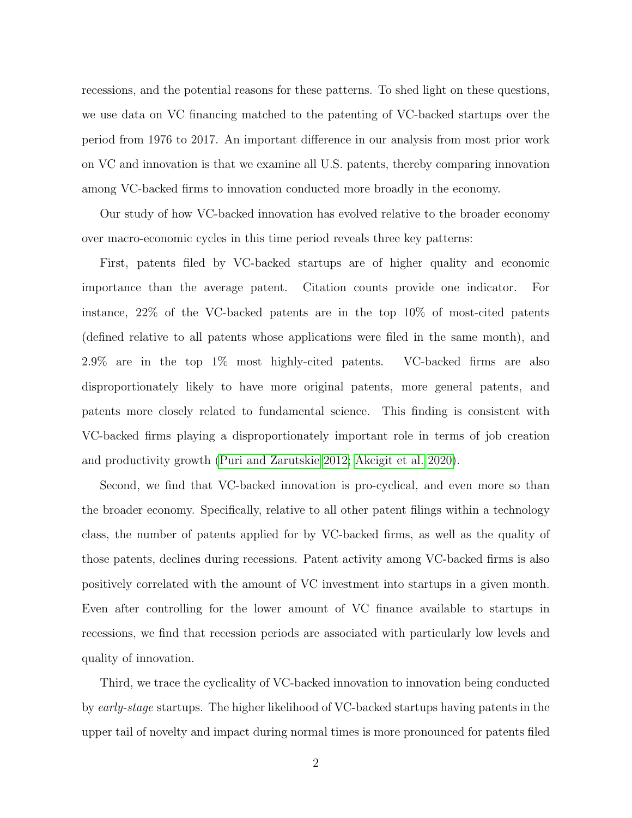recessions, and the potential reasons for these patterns. To shed light on these questions, we use data on VC financing matched to the patenting of VC-backed startups over the period from 1976 to 2017. An important difference in our analysis from most prior work on VC and innovation is that we examine all U.S. patents, thereby comparing innovation among VC-backed firms to innovation conducted more broadly in the economy.

Our study of how VC-backed innovation has evolved relative to the broader economy over macro-economic cycles in this time period reveals three key patterns:

First, patents filed by VC-backed startups are of higher quality and economic importance than the average patent. Citation counts provide one indicator. For instance, 22% of the VC-backed patents are in the top 10% of most-cited patents (defined relative to all patents whose applications were filed in the same month), and 2.9% are in the top 1% most highly-cited patents. VC-backed firms are also disproportionately likely to have more original patents, more general patents, and patents more closely related to fundamental science. This finding is consistent with VC-backed firms playing a disproportionately important role in terms of job creation and productivity growth [\(Puri and Zarutskie 2012;](#page-33-2) [Akcigit et al. 2020\)](#page-30-1).

Second, we find that VC-backed innovation is pro-cyclical, and even more so than the broader economy. Specifically, relative to all other patent filings within a technology class, the number of patents applied for by VC-backed firms, as well as the quality of those patents, declines during recessions. Patent activity among VC-backed firms is also positively correlated with the amount of VC investment into startups in a given month. Even after controlling for the lower amount of VC finance available to startups in recessions, we find that recession periods are associated with particularly low levels and quality of innovation.

Third, we trace the cyclicality of VC-backed innovation to innovation being conducted by early-stage startups. The higher likelihood of VC-backed startups having patents in the upper tail of novelty and impact during normal times is more pronounced for patents filed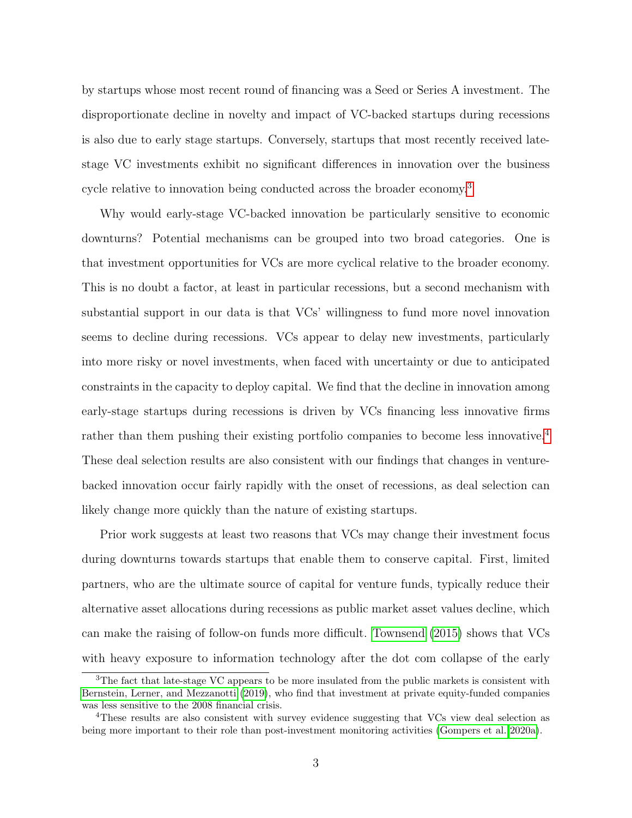by startups whose most recent round of financing was a Seed or Series A investment. The disproportionate decline in novelty and impact of VC-backed startups during recessions is also due to early stage startups. Conversely, startups that most recently received latestage VC investments exhibit no significant differences in innovation over the business cycle relative to innovation being conducted across the broader economy.[3](#page-4-0)

Why would early-stage VC-backed innovation be particularly sensitive to economic downturns? Potential mechanisms can be grouped into two broad categories. One is that investment opportunities for VCs are more cyclical relative to the broader economy. This is no doubt a factor, at least in particular recessions, but a second mechanism with substantial support in our data is that VCs' willingness to fund more novel innovation seems to decline during recessions. VCs appear to delay new investments, particularly into more risky or novel investments, when faced with uncertainty or due to anticipated constraints in the capacity to deploy capital. We find that the decline in innovation among early-stage startups during recessions is driven by VCs financing less innovative firms rather than them pushing their existing portfolio companies to become less innovative.<sup>[4](#page-4-1)</sup> These deal selection results are also consistent with our findings that changes in venturebacked innovation occur fairly rapidly with the onset of recessions, as deal selection can likely change more quickly than the nature of existing startups.

Prior work suggests at least two reasons that VCs may change their investment focus during downturns towards startups that enable them to conserve capital. First, limited partners, who are the ultimate source of capital for venture funds, typically reduce their alternative asset allocations during recessions as public market asset values decline, which can make the raising of follow-on funds more difficult. [Townsend](#page-33-3) [\(2015\)](#page-33-3) shows that VCs with heavy exposure to information technology after the dot com collapse of the early

<span id="page-4-0"></span><sup>&</sup>lt;sup>3</sup>The fact that late-stage VC appears to be more insulated from the public markets is consistent with [Bernstein, Lerner, and Mezzanotti](#page-30-2) [\(2019\)](#page-30-2), who find that investment at private equity-funded companies was less sensitive to the 2008 financial crisis.

<span id="page-4-1"></span><sup>4</sup>These results are also consistent with survey evidence suggesting that VCs view deal selection as being more important to their role than post-investment monitoring activities [\(Gompers et al. 2020a\)](#page-31-4).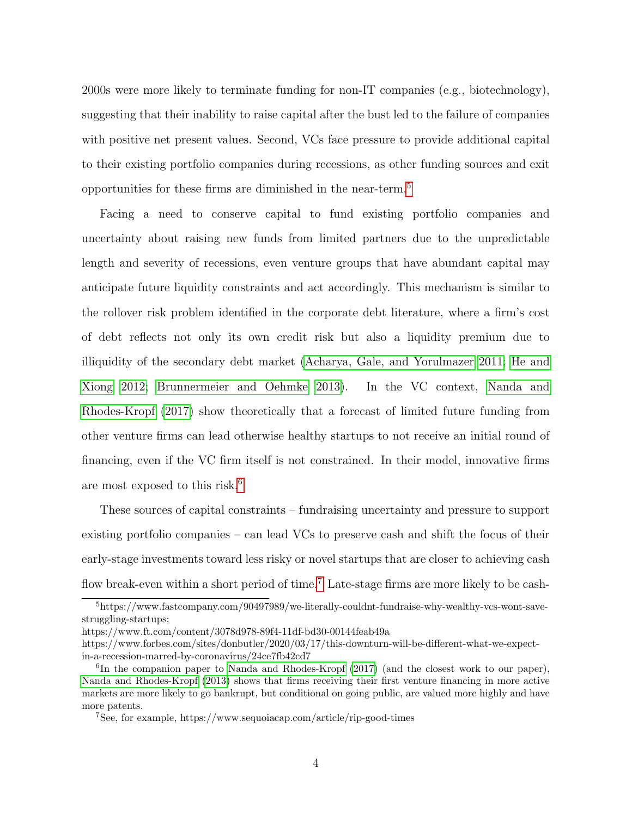2000s were more likely to terminate funding for non-IT companies (e.g., biotechnology), suggesting that their inability to raise capital after the bust led to the failure of companies with positive net present values. Second, VCs face pressure to provide additional capital to their existing portfolio companies during recessions, as other funding sources and exit opportunities for these firms are diminished in the near-term.[5](#page-5-0)

Facing a need to conserve capital to fund existing portfolio companies and uncertainty about raising new funds from limited partners due to the unpredictable length and severity of recessions, even venture groups that have abundant capital may anticipate future liquidity constraints and act accordingly. This mechanism is similar to the rollover risk problem identified in the corporate debt literature, where a firm's cost of debt reflects not only its own credit risk but also a liquidity premium due to illiquidity of the secondary debt market [\(Acharya, Gale, and Yorulmazer 2011;](#page-30-3) [He and](#page-32-1) [Xiong 2012;](#page-32-1) [Brunnermeier and Oehmke 2013\)](#page-31-5). In the VC context, [Nanda and](#page-32-2) [Rhodes-Kropf](#page-32-2) [\(2017\)](#page-32-2) show theoretically that a forecast of limited future funding from other venture firms can lead otherwise healthy startups to not receive an initial round of financing, even if the VC firm itself is not constrained. In their model, innovative firms are most exposed to this risk.<sup>[6](#page-5-1)</sup>

These sources of capital constraints – fundraising uncertainty and pressure to support existing portfolio companies – can lead VCs to preserve cash and shift the focus of their early-stage investments toward less risky or novel startups that are closer to achieving cash flow break-even within a short period of time.<sup>[7](#page-5-2)</sup> Late-stage firms are more likely to be cash-

<span id="page-5-0"></span><sup>5</sup>https://www.fastcompany.com/90497989/we-literally-couldnt-fundraise-why-wealthy-vcs-wont-savestruggling-startups;

https://www.ft.com/content/3078d978-89f4-11df-bd30-00144feab49a

https://www.forbes.com/sites/donbutler/2020/03/17/this-downturn-will-be-different-what-we-expectin-a-recession-marred-by-coronavirus/24ce7fb42cd7

<span id="page-5-1"></span><sup>&</sup>lt;sup>6</sup>In the companion paper to [Nanda and Rhodes-Kropf](#page-32-2) [\(2017\)](#page-32-2) (and the closest work to our paper), [Nanda and Rhodes-Kropf](#page-32-3) [\(2013\)](#page-32-3) shows that firms receiving their first venture financing in more active markets are more likely to go bankrupt, but conditional on going public, are valued more highly and have more patents.

<span id="page-5-2"></span><sup>7</sup>See, for example, https://www.sequoiacap.com/article/rip-good-times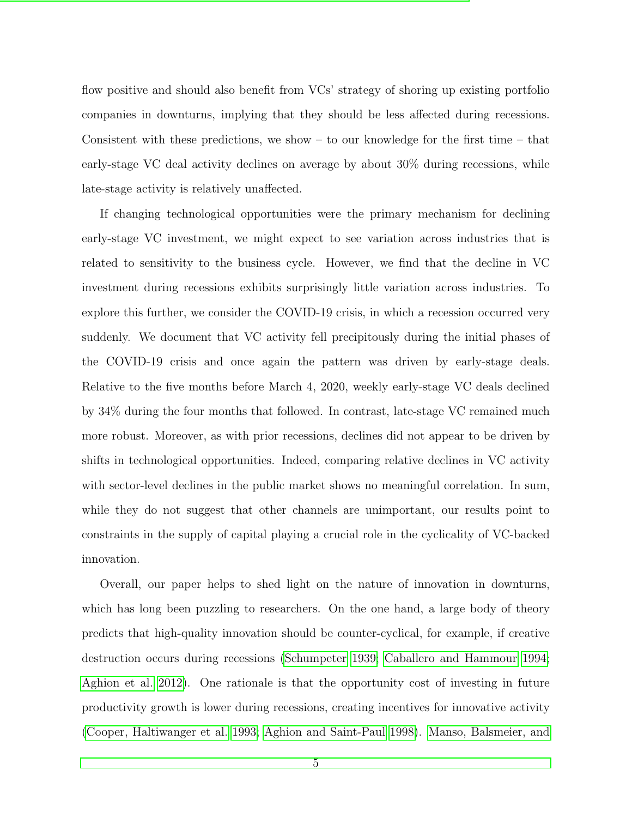flow positive and should also benefit from VCs' strategy of shoring up existing portfolio companies in downturns, implying that they should be less affected during recessions. Consistent with these predictions, we show  $-$  to our knowledge for the first time  $-$  that early-stage VC deal activity declines on average by about 30% during recessions, while late-stage activity is relatively unaffected.

If changing technological opportunities were the primary mechanism for declining early-stage VC investment, we might expect to see variation across industries that is related to sensitivity to the business cycle. However, we find that the decline in VC investment during recessions exhibits surprisingly little variation across industries. To explore this further, we consider the COVID-19 crisis, in which a recession occurred very suddenly. We document that VC activity fell precipitously during the initial phases of the COVID-19 crisis and once again the pattern was driven by early-stage deals. Relative to the five months before March 4, 2020, weekly early-stage VC deals declined by 34% during the four months that followed. In contrast, late-stage VC remained much more robust. Moreover, as with prior recessions, declines did not appear to be driven by shifts in technological opportunities. Indeed, comparing relative declines in VC activity with sector-level declines in the public market shows no meaningful correlation. In sum, while they do not suggest that other channels are unimportant, our results point to constraints in the supply of capital playing a crucial role in the cyclicality of VC-backed innovation.

Overall, our paper helps to shed light on the nature of innovation in downturns, which has long been puzzling to researchers. On the one hand, a large body of theory predicts that high-quality innovation should be counter-cyclical, for example, if creative destruction occurs during recessions [\(Schumpeter 1939;](#page-33-4) [Caballero and Hammour 1994;](#page-31-6) [Aghion et al. 2012\)](#page-30-4). One rationale is that the opportunity cost of investing in future productivity growth is lower during recessions, creating incentives for innovative activity [\(Cooper, Haltiwanger et al. 1993;](#page-31-7) [Aghion and Saint-Paul 1998\)](#page-30-5). [Manso, Balsmeier, and](#page-32-4)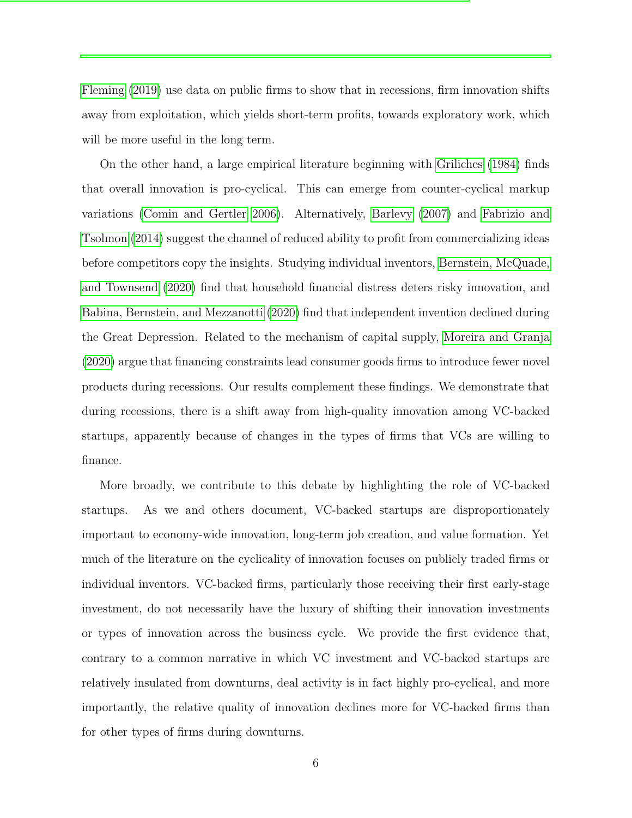[Fleming](#page-32-4) [\(2019\)](#page-32-4) use data on public firms to show that in recessions, firm innovation shifts away from exploitation, which yields short-term profits, towards exploratory work, which will be more useful in the long term.

On the other hand, a large empirical literature beginning with [Griliches](#page-31-8) [\(1984\)](#page-31-8) finds that overall innovation is pro-cyclical. This can emerge from counter-cyclical markup variations [\(Comin and Gertler 2006\)](#page-31-9). Alternatively, [Barlevy](#page-30-6) [\(2007\)](#page-30-6) and [Fabrizio and](#page-31-10) [Tsolmon](#page-31-10) [\(2014\)](#page-31-10) suggest the channel of reduced ability to profit from commercializing ideas before competitors copy the insights. Studying individual inventors, [Bernstein, McQuade,](#page-31-11) [and Townsend](#page-31-11) [\(2020\)](#page-31-11) find that household financial distress deters risky innovation, and [Babina, Bernstein, and Mezzanotti](#page-30-7) [\(2020\)](#page-30-7) find that independent invention declined during the Great Depression. Related to the mechanism of capital supply, [Moreira and Granja](#page-32-5) [\(2020\)](#page-32-5) argue that financing constraints lead consumer goods firms to introduce fewer novel products during recessions. Our results complement these findings. We demonstrate that during recessions, there is a shift away from high-quality innovation among VC-backed startups, apparently because of changes in the types of firms that VCs are willing to finance.

More broadly, we contribute to this debate by highlighting the role of VC-backed startups. As we and others document, VC-backed startups are disproportionately important to economy-wide innovation, long-term job creation, and value formation. Yet much of the literature on the cyclicality of innovation focuses on publicly traded firms or individual inventors. VC-backed firms, particularly those receiving their first early-stage investment, do not necessarily have the luxury of shifting their innovation investments or types of innovation across the business cycle. We provide the first evidence that, contrary to a common narrative in which VC investment and VC-backed startups are relatively insulated from downturns, deal activity is in fact highly pro-cyclical, and more importantly, the relative quality of innovation declines more for VC-backed firms than for other types of firms during downturns.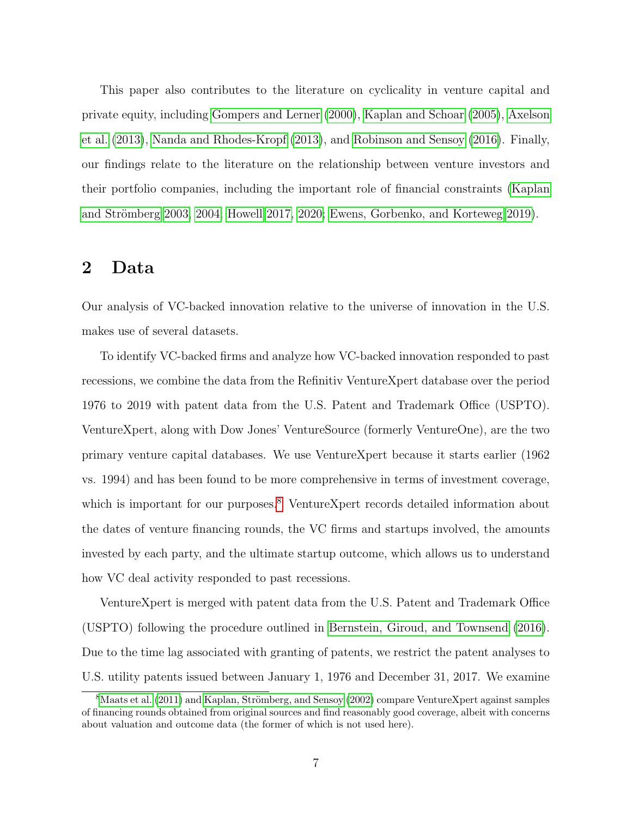This paper also contributes to the literature on cyclicality in venture capital and private equity, including [Gompers and Lerner](#page-31-12) [\(2000\)](#page-31-12), [Kaplan and Schoar](#page-32-6) [\(2005\)](#page-32-6), [Axelson](#page-30-8) [et al.](#page-30-8) [\(2013\)](#page-30-8), [Nanda and Rhodes-Kropf](#page-32-3) [\(2013\)](#page-32-3), and [Robinson and Sensoy](#page-33-5) [\(2016\)](#page-33-5). Finally, our findings relate to the literature on the relationship between venture investors and their portfolio companies, including the important role of financial constraints [\(Kaplan](#page-32-7) and Strömberg 2003, [2004;](#page-32-8) [Howell 2017,](#page-32-9) [2020;](#page-32-10) [Ewens, Gorbenko, and Korteweg 2019\)](#page-31-13).

# 2 Data

Our analysis of VC-backed innovation relative to the universe of innovation in the U.S. makes use of several datasets.

To identify VC-backed firms and analyze how VC-backed innovation responded to past recessions, we combine the data from the Refinitiv VentureXpert database over the period 1976 to 2019 with patent data from the U.S. Patent and Trademark Office (USPTO). VentureXpert, along with Dow Jones' VentureSource (formerly VentureOne), are the two primary venture capital databases. We use VentureXpert because it starts earlier (1962 vs. 1994) and has been found to be more comprehensive in terms of investment coverage, which is important for our purposes.<sup>[8](#page-8-0)</sup> VentureXpert records detailed information about the dates of venture financing rounds, the VC firms and startups involved, the amounts invested by each party, and the ultimate startup outcome, which allows us to understand how VC deal activity responded to past recessions.

VentureXpert is merged with patent data from the U.S. Patent and Trademark Office (USPTO) following the procedure outlined in [Bernstein, Giroud, and Townsend](#page-30-9) [\(2016\)](#page-30-9). Due to the time lag associated with granting of patents, we restrict the patent analyses to U.S. utility patents issued between January 1, 1976 and December 31, 2017. We examine

<span id="page-8-0"></span> $8$ [Maats et al.](#page-32-11) [\(2011\)](#page-32-11) and Kaplan, Strömberg, and Sensoy [\(2002\)](#page-32-12) compare VentureXpert against samples of financing rounds obtained from original sources and find reasonably good coverage, albeit with concerns about valuation and outcome data (the former of which is not used here).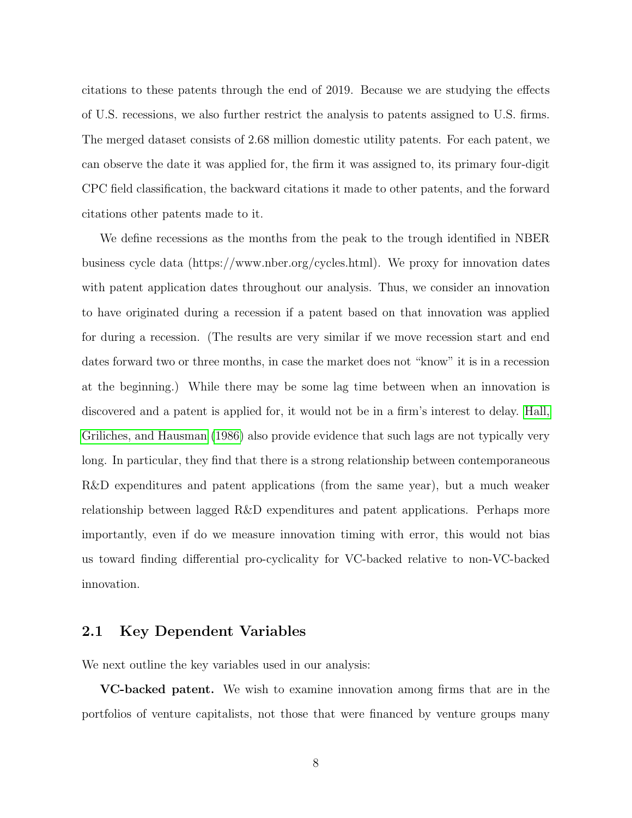citations to these patents through the end of 2019. Because we are studying the effects of U.S. recessions, we also further restrict the analysis to patents assigned to U.S. firms. The merged dataset consists of 2.68 million domestic utility patents. For each patent, we can observe the date it was applied for, the firm it was assigned to, its primary four-digit CPC field classification, the backward citations it made to other patents, and the forward citations other patents made to it.

We define recessions as the months from the peak to the trough identified in NBER business cycle data (https://www.nber.org/cycles.html). We proxy for innovation dates with patent application dates throughout our analysis. Thus, we consider an innovation to have originated during a recession if a patent based on that innovation was applied for during a recession. (The results are very similar if we move recession start and end dates forward two or three months, in case the market does not "know" it is in a recession at the beginning.) While there may be some lag time between when an innovation is discovered and a patent is applied for, it would not be in a firm's interest to delay. [Hall,](#page-32-13) [Griliches, and Hausman](#page-32-13) [\(1986\)](#page-32-13) also provide evidence that such lags are not typically very long. In particular, they find that there is a strong relationship between contemporaneous R&D expenditures and patent applications (from the same year), but a much weaker relationship between lagged R&D expenditures and patent applications. Perhaps more importantly, even if do we measure innovation timing with error, this would not bias us toward finding differential pro-cyclicality for VC-backed relative to non-VC-backed innovation.

# 2.1 Key Dependent Variables

We next outline the key variables used in our analysis:

VC-backed patent. We wish to examine innovation among firms that are in the portfolios of venture capitalists, not those that were financed by venture groups many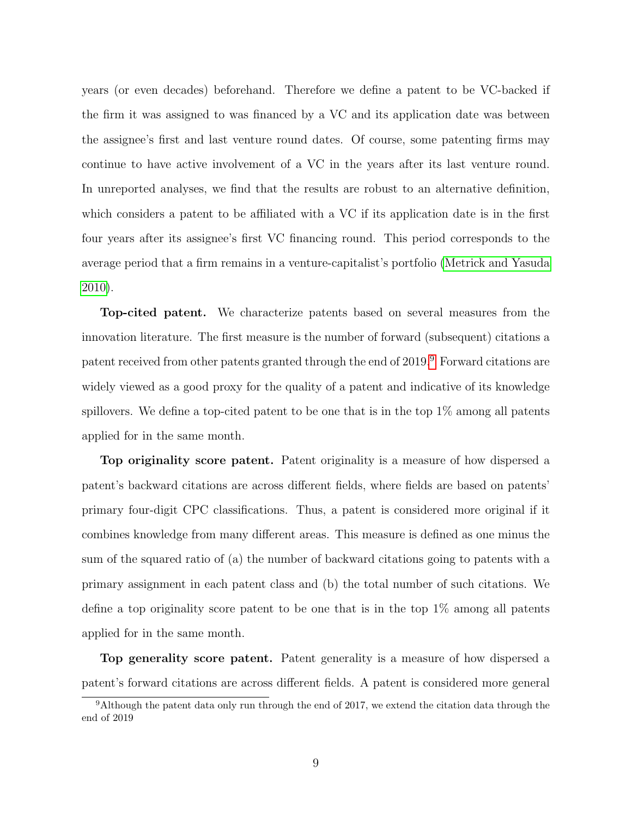years (or even decades) beforehand. Therefore we define a patent to be VC-backed if the firm it was assigned to was financed by a VC and its application date was between the assignee's first and last venture round dates. Of course, some patenting firms may continue to have active involvement of a VC in the years after its last venture round. In unreported analyses, we find that the results are robust to an alternative definition, which considers a patent to be affiliated with a VC if its application date is in the first four years after its assignee's first VC financing round. This period corresponds to the average period that a firm remains in a venture-capitalist's portfolio [\(Metrick and Yasuda](#page-32-14) [2010\)](#page-32-14).

Top-cited patent. We characterize patents based on several measures from the innovation literature. The first measure is the number of forward (subsequent) citations a patent received from other patents granted through the end of 2019.[9](#page-10-0) Forward citations are widely viewed as a good proxy for the quality of a patent and indicative of its knowledge spillovers. We define a top-cited patent to be one that is in the top  $1\%$  among all patents applied for in the same month.

Top originality score patent. Patent originality is a measure of how dispersed a patent's backward citations are across different fields, where fields are based on patents' primary four-digit CPC classifications. Thus, a patent is considered more original if it combines knowledge from many different areas. This measure is defined as one minus the sum of the squared ratio of (a) the number of backward citations going to patents with a primary assignment in each patent class and (b) the total number of such citations. We define a top originality score patent to be one that is in the top  $1\%$  among all patents applied for in the same month.

Top generality score patent. Patent generality is a measure of how dispersed a patent's forward citations are across different fields. A patent is considered more general

<span id="page-10-0"></span><sup>&</sup>lt;sup>9</sup>Although the patent data only run through the end of 2017, we extend the citation data through the end of 2019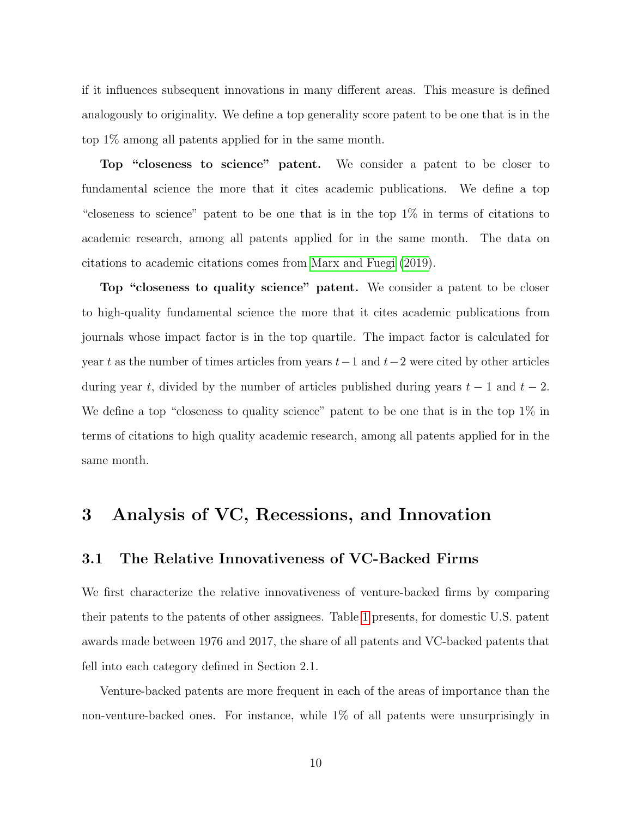if it influences subsequent innovations in many different areas. This measure is defined analogously to originality. We define a top generality score patent to be one that is in the top 1% among all patents applied for in the same month.

Top "closeness to science" patent. We consider a patent to be closer to fundamental science the more that it cites academic publications. We define a top "closeness to science" patent to be one that is in the top 1% in terms of citations to academic research, among all patents applied for in the same month. The data on citations to academic citations comes from [Marx and Fuegi](#page-32-15) [\(2019\)](#page-32-15).

Top "closeness to quality science" patent. We consider a patent to be closer to high-quality fundamental science the more that it cites academic publications from journals whose impact factor is in the top quartile. The impact factor is calculated for year t as the number of times articles from years  $t-1$  and  $t-2$  were cited by other articles during year t, divided by the number of articles published during years  $t - 1$  and  $t - 2$ . We define a top "closeness to quality science" patent to be one that is in the top  $1\%$  in terms of citations to high quality academic research, among all patents applied for in the same month.

# 3 Analysis of VC, Recessions, and Innovation

# 3.1 The Relative Innovativeness of VC-Backed Firms

We first characterize the relative innovativeness of venture-backed firms by comparing their patents to the patents of other assignees. Table [1](#page-38-0) presents, for domestic U.S. patent awards made between 1976 and 2017, the share of all patents and VC-backed patents that fell into each category defined in Section 2.1.

Venture-backed patents are more frequent in each of the areas of importance than the non-venture-backed ones. For instance, while 1% of all patents were unsurprisingly in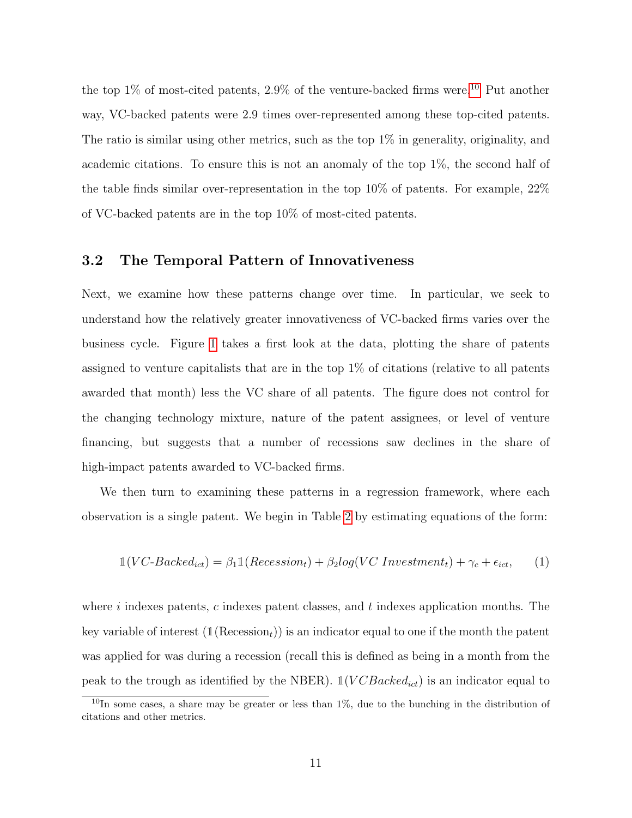the top  $1\%$  of most-cited patents,  $2.9\%$  of the venture-backed firms were.<sup>[10](#page-12-0)</sup> Put another way, VC-backed patents were 2.9 times over-represented among these top-cited patents. The ratio is similar using other metrics, such as the top 1% in generality, originality, and academic citations. To ensure this is not an anomaly of the top 1%, the second half of the table finds similar over-representation in the top  $10\%$  of patents. For example,  $22\%$ of VC-backed patents are in the top 10% of most-cited patents.

## 3.2 The Temporal Pattern of Innovativeness

Next, we examine how these patterns change over time. In particular, we seek to understand how the relatively greater innovativeness of VC-backed firms varies over the business cycle. Figure [1](#page-34-0) takes a first look at the data, plotting the share of patents assigned to venture capitalists that are in the top 1% of citations (relative to all patents awarded that month) less the VC share of all patents. The figure does not control for the changing technology mixture, nature of the patent assignees, or level of venture financing, but suggests that a number of recessions saw declines in the share of high-impact patents awarded to VC-backed firms.

We then turn to examining these patterns in a regression framework, where each observation is a single patent. We begin in Table [2](#page-39-0) by estimating equations of the form:

$$
\mathbb{1}(VC\text{-}Backed_{ict}) = \beta_1 \mathbb{1}(Recession_t) + \beta_2 log(VC\text{ Investment}_t) + \gamma_c + \epsilon_{ict},\qquad(1)
$$

where  $i$  indexes patents,  $c$  indexes patent classes, and  $t$  indexes application months. The key variable of interest  $(\mathbb{1}(Resesion<sub>t</sub>))$  is an indicator equal to one if the month the patent was applied for was during a recession (recall this is defined as being in a month from the peak to the trough as identified by the NBER).  $\mathbb{1}(VCBacked_{ict})$  is an indicator equal to

<span id="page-12-0"></span> $10$ In some cases, a share may be greater or less than  $1\%$ , due to the bunching in the distribution of citations and other metrics.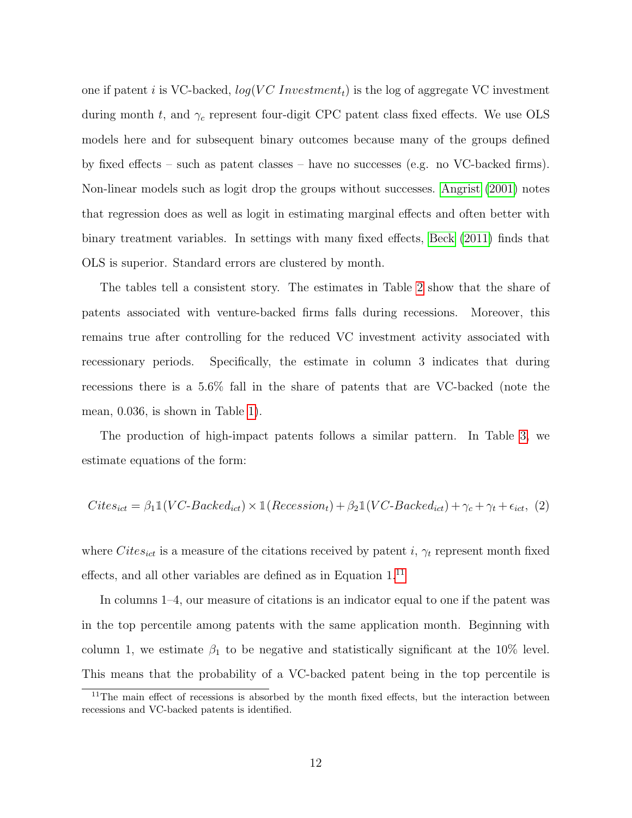one if patent i is VC-backed,  $log(VC\ Investment_t)$  is the log of aggregate VC investment during month t, and  $\gamma_c$  represent four-digit CPC patent class fixed effects. We use OLS models here and for subsequent binary outcomes because many of the groups defined by fixed effects – such as patent classes – have no successes (e.g. no VC-backed firms). Non-linear models such as logit drop the groups without successes. [Angrist](#page-30-10) [\(2001\)](#page-30-10) notes that regression does as well as logit in estimating marginal effects and often better with binary treatment variables. In settings with many fixed effects, [Beck](#page-30-11) [\(2011\)](#page-30-11) finds that OLS is superior. Standard errors are clustered by month.

The tables tell a consistent story. The estimates in Table [2](#page-39-0) show that the share of patents associated with venture-backed firms falls during recessions. Moreover, this remains true after controlling for the reduced VC investment activity associated with recessionary periods. Specifically, the estimate in column 3 indicates that during recessions there is a 5.6% fall in the share of patents that are VC-backed (note the mean, 0.036, is shown in Table [1\)](#page-38-0).

The production of high-impact patents follows a similar pattern. In Table [3,](#page-40-0) we estimate equations of the form:

$$
Cites_{ict} = \beta_1 \mathbb{1}(VC\text{-}Backed_{ict}) \times \mathbb{1}(Recession_t) + \beta_2 \mathbb{1}(VC\text{-}Backed_{ict}) + \gamma_c + \gamma_t + \epsilon_{ict}, (2)
$$

where  $Cites_{ict}$  is a measure of the citations received by patent i,  $\gamma_t$  represent month fixed effects, and all other variables are defined as in Equation 1.[11](#page-13-0)

In columns 1–4, our measure of citations is an indicator equal to one if the patent was in the top percentile among patents with the same application month. Beginning with column 1, we estimate  $\beta_1$  to be negative and statistically significant at the 10% level. This means that the probability of a VC-backed patent being in the top percentile is

<span id="page-13-0"></span><sup>&</sup>lt;sup>11</sup>The main effect of recessions is absorbed by the month fixed effects, but the interaction between recessions and VC-backed patents is identified.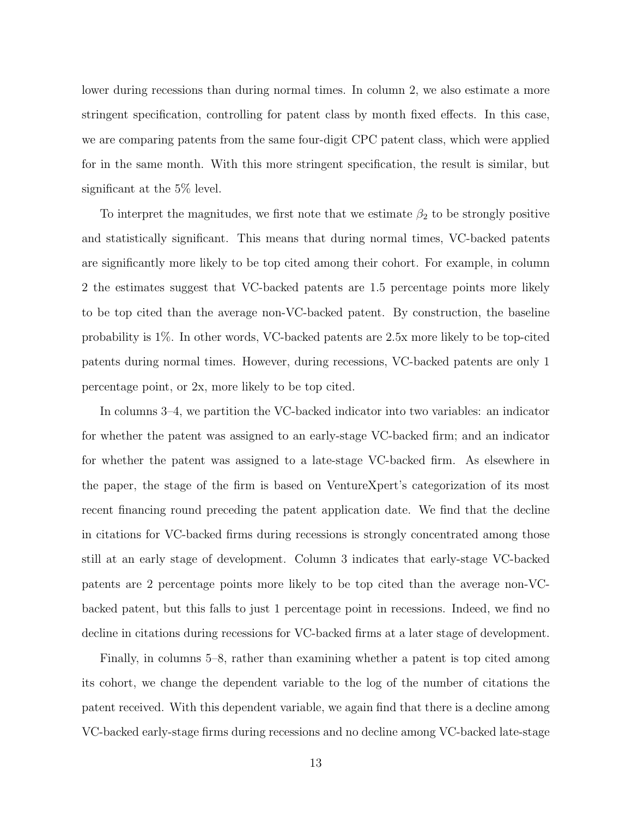lower during recessions than during normal times. In column 2, we also estimate a more stringent specification, controlling for patent class by month fixed effects. In this case, we are comparing patents from the same four-digit CPC patent class, which were applied for in the same month. With this more stringent specification, the result is similar, but significant at the 5% level.

To interpret the magnitudes, we first note that we estimate  $\beta_2$  to be strongly positive and statistically significant. This means that during normal times, VC-backed patents are significantly more likely to be top cited among their cohort. For example, in column 2 the estimates suggest that VC-backed patents are 1.5 percentage points more likely to be top cited than the average non-VC-backed patent. By construction, the baseline probability is 1%. In other words, VC-backed patents are 2.5x more likely to be top-cited patents during normal times. However, during recessions, VC-backed patents are only 1 percentage point, or 2x, more likely to be top cited.

In columns 3–4, we partition the VC-backed indicator into two variables: an indicator for whether the patent was assigned to an early-stage VC-backed firm; and an indicator for whether the patent was assigned to a late-stage VC-backed firm. As elsewhere in the paper, the stage of the firm is based on VentureXpert's categorization of its most recent financing round preceding the patent application date. We find that the decline in citations for VC-backed firms during recessions is strongly concentrated among those still at an early stage of development. Column 3 indicates that early-stage VC-backed patents are 2 percentage points more likely to be top cited than the average non-VCbacked patent, but this falls to just 1 percentage point in recessions. Indeed, we find no decline in citations during recessions for VC-backed firms at a later stage of development.

Finally, in columns 5–8, rather than examining whether a patent is top cited among its cohort, we change the dependent variable to the log of the number of citations the patent received. With this dependent variable, we again find that there is a decline among VC-backed early-stage firms during recessions and no decline among VC-backed late-stage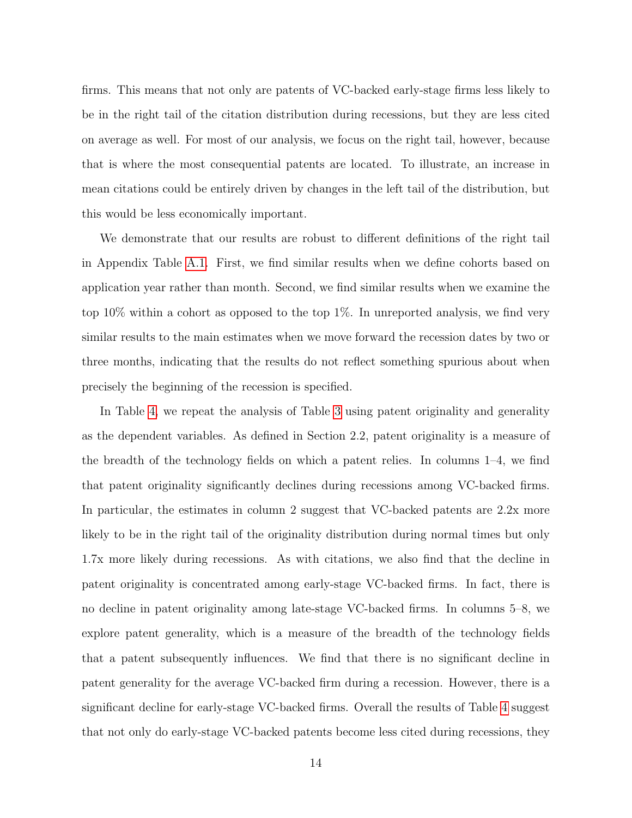firms. This means that not only are patents of VC-backed early-stage firms less likely to be in the right tail of the citation distribution during recessions, but they are less cited on average as well. For most of our analysis, we focus on the right tail, however, because that is where the most consequential patents are located. To illustrate, an increase in mean citations could be entirely driven by changes in the left tail of the distribution, but this would be less economically important.

We demonstrate that our results are robust to different definitions of the right tail in Appendix Table [A.1.](#page-48-0) First, we find similar results when we define cohorts based on application year rather than month. Second, we find similar results when we examine the top 10% within a cohort as opposed to the top 1%. In unreported analysis, we find very similar results to the main estimates when we move forward the recession dates by two or three months, indicating that the results do not reflect something spurious about when precisely the beginning of the recession is specified.

In Table [4,](#page-41-0) we repeat the analysis of Table [3](#page-40-0) using patent originality and generality as the dependent variables. As defined in Section 2.2, patent originality is a measure of the breadth of the technology fields on which a patent relies. In columns 1–4, we find that patent originality significantly declines during recessions among VC-backed firms. In particular, the estimates in column 2 suggest that VC-backed patents are 2.2x more likely to be in the right tail of the originality distribution during normal times but only 1.7x more likely during recessions. As with citations, we also find that the decline in patent originality is concentrated among early-stage VC-backed firms. In fact, there is no decline in patent originality among late-stage VC-backed firms. In columns 5–8, we explore patent generality, which is a measure of the breadth of the technology fields that a patent subsequently influences. We find that there is no significant decline in patent generality for the average VC-backed firm during a recession. However, there is a significant decline for early-stage VC-backed firms. Overall the results of Table [4](#page-41-0) suggest that not only do early-stage VC-backed patents become less cited during recessions, they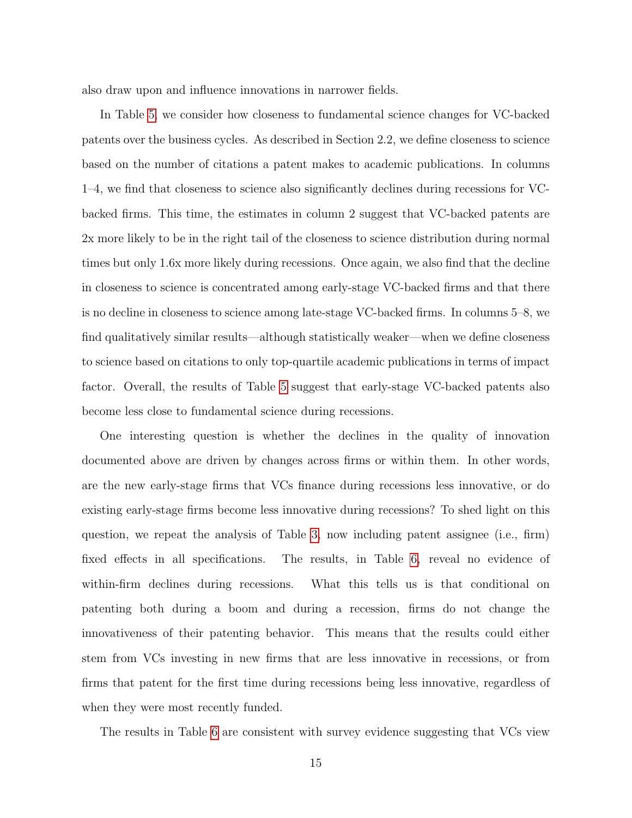also draw upon and influence innovations in narrower fields.

In Table [5,](#page-42-0) we consider how closeness to fundamental science changes for VC-backed patents over the business cycles. As described in Section 2.2, we define closeness to science based on the number of citations a patent makes to academic publications. In columns 1–4, we find that closeness to science also significantly declines during recessions for VCbacked firms. This time, the estimates in column 2 suggest that VC-backed patents are 2x more likely to be in the right tail of the closeness to science distribution during normal times but only 1.6x more likely during recessions. Once again, we also find that the decline in closeness to science is concentrated among early-stage VC-backed firms and that there is no decline in closeness to science among late-stage VC-backed firms. In columns 5–8, we find qualitatively similar results—although statistically weaker—when we define closeness to science based on citations to only top-quartile academic publications in terms of impact factor. Overall, the results of Table [5](#page-42-0) suggest that early-stage VC-backed patents also become less close to fundamental science during recessions.

One interesting question is whether the declines in the quality of innovation documented above are driven by changes across firms or within them. In other words, are the new early-stage firms that VCs finance during recessions less innovative, or do existing early-stage firms become less innovative during recessions? To shed light on this question, we repeat the analysis of Table [3,](#page-40-0) now including patent assignee (i.e., firm) fixed effects in all specifications. The results, in Table [6,](#page-43-0) reveal no evidence of within-firm declines during recessions. What this tells us is that conditional on patenting both during a boom and during a recession, firms do not change the innovativeness of their patenting behavior. This means that the results could either stem from VCs investing in new firms that are less innovative in recessions, or from firms that patent for the first time during recessions being less innovative, regardless of when they were most recently funded.

The results in Table [6](#page-43-0) are consistent with survey evidence suggesting that VCs view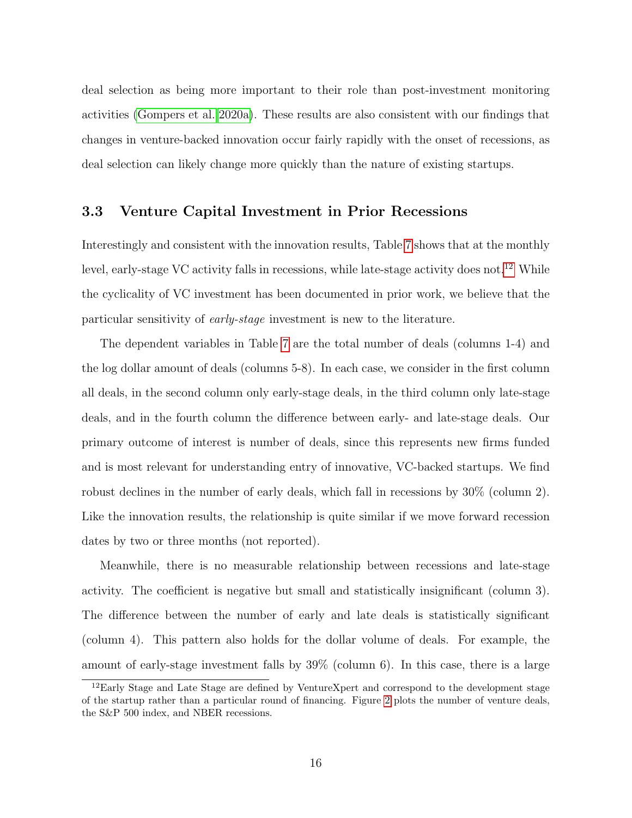deal selection as being more important to their role than post-investment monitoring activities [\(Gompers et al. 2020a\)](#page-31-4). These results are also consistent with our findings that changes in venture-backed innovation occur fairly rapidly with the onset of recessions, as deal selection can likely change more quickly than the nature of existing startups.

# 3.3 Venture Capital Investment in Prior Recessions

Interestingly and consistent with the innovation results, Table [7](#page-44-0) shows that at the monthly level, early-stage VC activity falls in recessions, while late-stage activity does not.<sup>[12](#page-17-0)</sup> While the cyclicality of VC investment has been documented in prior work, we believe that the particular sensitivity of early-stage investment is new to the literature.

The dependent variables in Table [7](#page-44-0) are the total number of deals (columns 1-4) and the log dollar amount of deals (columns 5-8). In each case, we consider in the first column all deals, in the second column only early-stage deals, in the third column only late-stage deals, and in the fourth column the difference between early- and late-stage deals. Our primary outcome of interest is number of deals, since this represents new firms funded and is most relevant for understanding entry of innovative, VC-backed startups. We find robust declines in the number of early deals, which fall in recessions by 30% (column 2). Like the innovation results, the relationship is quite similar if we move forward recession dates by two or three months (not reported).

Meanwhile, there is no measurable relationship between recessions and late-stage activity. The coefficient is negative but small and statistically insignificant (column 3). The difference between the number of early and late deals is statistically significant (column 4). This pattern also holds for the dollar volume of deals. For example, the amount of early-stage investment falls by 39% (column 6). In this case, there is a large

<span id="page-17-0"></span><sup>12</sup>Early Stage and Late Stage are defined by VentureXpert and correspond to the development stage of the startup rather than a particular round of financing. Figure [2](#page-35-0) plots the number of venture deals, the S&P 500 index, and NBER recessions.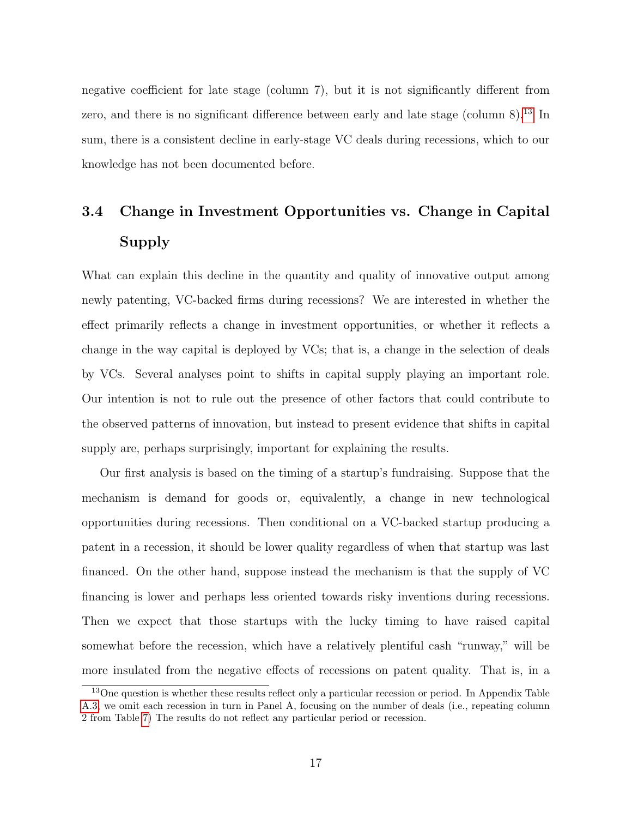negative coefficient for late stage (column 7), but it is not significantly different from zero, and there is no significant difference between early and late stage (column  $8$ ).<sup>[13](#page-18-0)</sup> In sum, there is a consistent decline in early-stage VC deals during recessions, which to our knowledge has not been documented before.

# 3.4 Change in Investment Opportunities vs. Change in Capital Supply

What can explain this decline in the quantity and quality of innovative output among newly patenting, VC-backed firms during recessions? We are interested in whether the effect primarily reflects a change in investment opportunities, or whether it reflects a change in the way capital is deployed by VCs; that is, a change in the selection of deals by VCs. Several analyses point to shifts in capital supply playing an important role. Our intention is not to rule out the presence of other factors that could contribute to the observed patterns of innovation, but instead to present evidence that shifts in capital supply are, perhaps surprisingly, important for explaining the results.

Our first analysis is based on the timing of a startup's fundraising. Suppose that the mechanism is demand for goods or, equivalently, a change in new technological opportunities during recessions. Then conditional on a VC-backed startup producing a patent in a recession, it should be lower quality regardless of when that startup was last financed. On the other hand, suppose instead the mechanism is that the supply of VC financing is lower and perhaps less oriented towards risky inventions during recessions. Then we expect that those startups with the lucky timing to have raised capital somewhat before the recession, which have a relatively plentiful cash "runway," will be more insulated from the negative effects of recessions on patent quality. That is, in a

<span id="page-18-0"></span><sup>&</sup>lt;sup>13</sup>One question is whether these results reflect only a particular recession or period. In Appendix Table [A.3,](#page-50-0) we omit each recession in turn in Panel A, focusing on the number of deals (i.e., repeating column 2 from Table [7\)](#page-44-0) The results do not reflect any particular period or recession.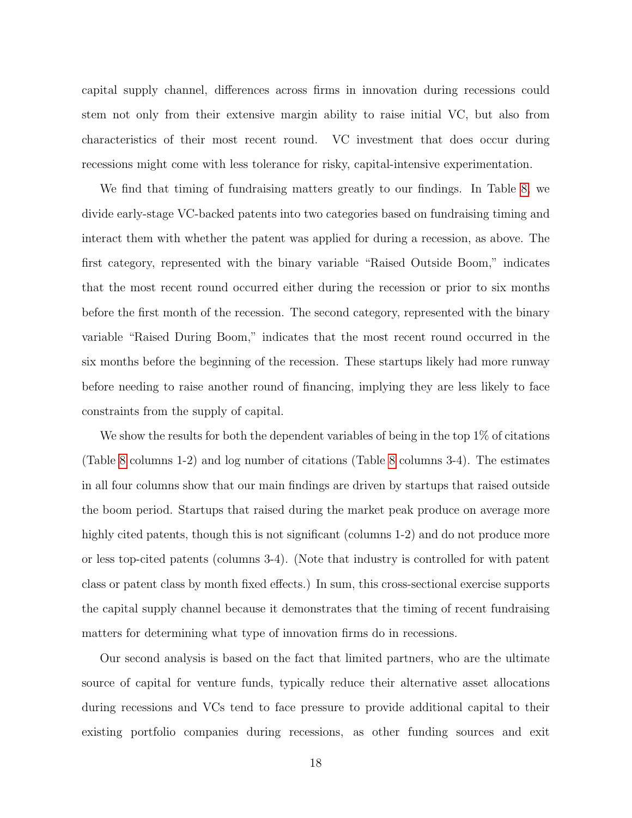capital supply channel, differences across firms in innovation during recessions could stem not only from their extensive margin ability to raise initial VC, but also from characteristics of their most recent round. VC investment that does occur during recessions might come with less tolerance for risky, capital-intensive experimentation.

We find that timing of fundraising matters greatly to our findings. In Table [8,](#page-45-0) we divide early-stage VC-backed patents into two categories based on fundraising timing and interact them with whether the patent was applied for during a recession, as above. The first category, represented with the binary variable "Raised Outside Boom," indicates that the most recent round occurred either during the recession or prior to six months before the first month of the recession. The second category, represented with the binary variable "Raised During Boom," indicates that the most recent round occurred in the six months before the beginning of the recession. These startups likely had more runway before needing to raise another round of financing, implying they are less likely to face constraints from the supply of capital.

We show the results for both the dependent variables of being in the top  $1\%$  of citations (Table [8](#page-45-0) columns 1-2) and log number of citations (Table [8](#page-45-0) columns 3-4). The estimates in all four columns show that our main findings are driven by startups that raised outside the boom period. Startups that raised during the market peak produce on average more highly cited patents, though this is not significant (columns 1-2) and do not produce more or less top-cited patents (columns 3-4). (Note that industry is controlled for with patent class or patent class by month fixed effects.) In sum, this cross-sectional exercise supports the capital supply channel because it demonstrates that the timing of recent fundraising matters for determining what type of innovation firms do in recessions.

Our second analysis is based on the fact that limited partners, who are the ultimate source of capital for venture funds, typically reduce their alternative asset allocations during recessions and VCs tend to face pressure to provide additional capital to their existing portfolio companies during recessions, as other funding sources and exit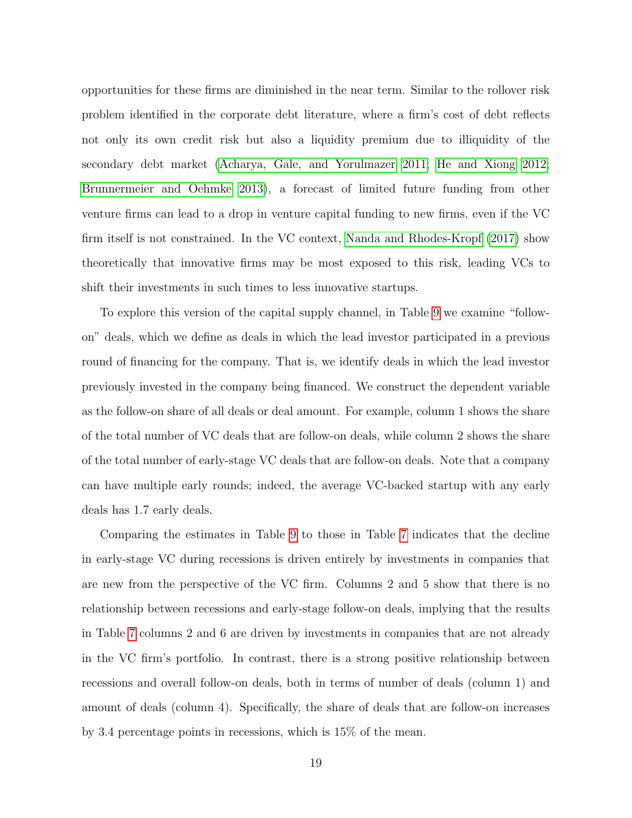opportunities for these firms are diminished in the near term. Similar to the rollover risk problem identified in the corporate debt literature, where a firm's cost of debt reflects not only its own credit risk but also a liquidity premium due to illiquidity of the secondary debt market [\(Acharya, Gale, and Yorulmazer 2011;](#page-30-3) [He and Xiong 2012;](#page-32-1) [Brunnermeier and Oehmke 2013\)](#page-31-5), a forecast of limited future funding from other venture firms can lead to a drop in venture capital funding to new firms, even if the VC firm itself is not constrained. In the VC context, [Nanda and Rhodes-Kropf](#page-32-2) [\(2017\)](#page-32-2) show theoretically that innovative firms may be most exposed to this risk, leading VCs to shift their investments in such times to less innovative startups.

To explore this version of the capital supply channel, in Table [9](#page-46-0) we examine "followon" deals, which we define as deals in which the lead investor participated in a previous round of financing for the company. That is, we identify deals in which the lead investor previously invested in the company being financed. We construct the dependent variable as the follow-on share of all deals or deal amount. For example, column 1 shows the share of the total number of VC deals that are follow-on deals, while column 2 shows the share of the total number of early-stage VC deals that are follow-on deals. Note that a company can have multiple early rounds; indeed, the average VC-backed startup with any early deals has 1.7 early deals.

Comparing the estimates in Table [9](#page-46-0) to those in Table [7](#page-44-0) indicates that the decline in early-stage VC during recessions is driven entirely by investments in companies that are new from the perspective of the VC firm. Columns 2 and 5 show that there is no relationship between recessions and early-stage follow-on deals, implying that the results in Table [7](#page-44-0) columns 2 and 6 are driven by investments in companies that are not already in the VC firm's portfolio. In contrast, there is a strong positive relationship between recessions and overall follow-on deals, both in terms of number of deals (column 1) and amount of deals (column 4). Specifically, the share of deals that are follow-on increases by 3.4 percentage points in recessions, which is 15% of the mean.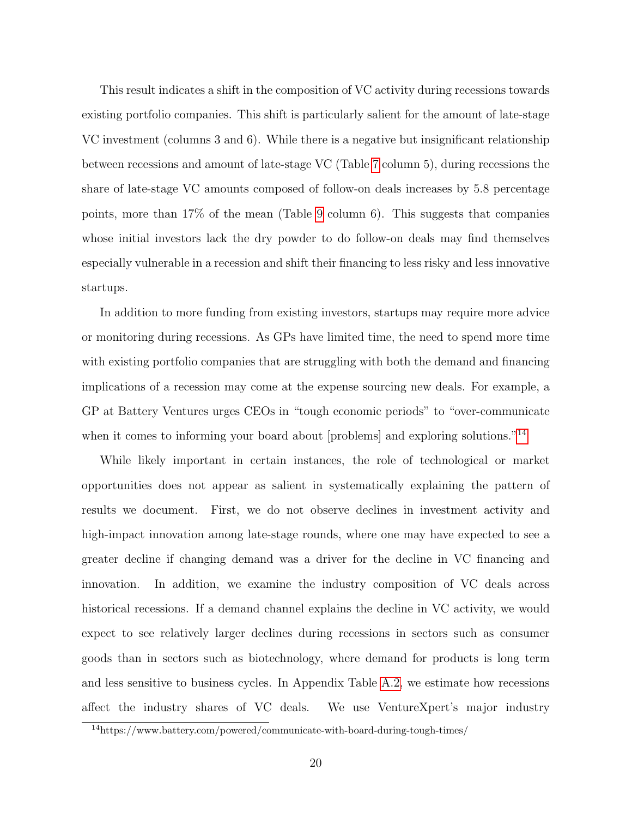This result indicates a shift in the composition of VC activity during recessions towards existing portfolio companies. This shift is particularly salient for the amount of late-stage VC investment (columns 3 and 6). While there is a negative but insignificant relationship between recessions and amount of late-stage VC (Table [7](#page-44-0) column 5), during recessions the share of late-stage VC amounts composed of follow-on deals increases by 5.8 percentage points, more than 17% of the mean (Table [9](#page-46-0) column 6). This suggests that companies whose initial investors lack the dry powder to do follow-on deals may find themselves especially vulnerable in a recession and shift their financing to less risky and less innovative startups.

In addition to more funding from existing investors, startups may require more advice or monitoring during recessions. As GPs have limited time, the need to spend more time with existing portfolio companies that are struggling with both the demand and financing implications of a recession may come at the expense sourcing new deals. For example, a GP at Battery Ventures urges CEOs in "tough economic periods" to "over-communicate when it comes to informing your board about [problems] and exploring solutions."<sup>[14](#page-21-0)</sup>

While likely important in certain instances, the role of technological or market opportunities does not appear as salient in systematically explaining the pattern of results we document. First, we do not observe declines in investment activity and high-impact innovation among late-stage rounds, where one may have expected to see a greater decline if changing demand was a driver for the decline in VC financing and innovation. In addition, we examine the industry composition of VC deals across historical recessions. If a demand channel explains the decline in VC activity, we would expect to see relatively larger declines during recessions in sectors such as consumer goods than in sectors such as biotechnology, where demand for products is long term and less sensitive to business cycles. In Appendix Table [A.2,](#page-49-0) we estimate how recessions affect the industry shares of VC deals. We use VentureXpert's major industry

<span id="page-21-0"></span><sup>14</sup>https://www.battery.com/powered/communicate-with-board-during-tough-times/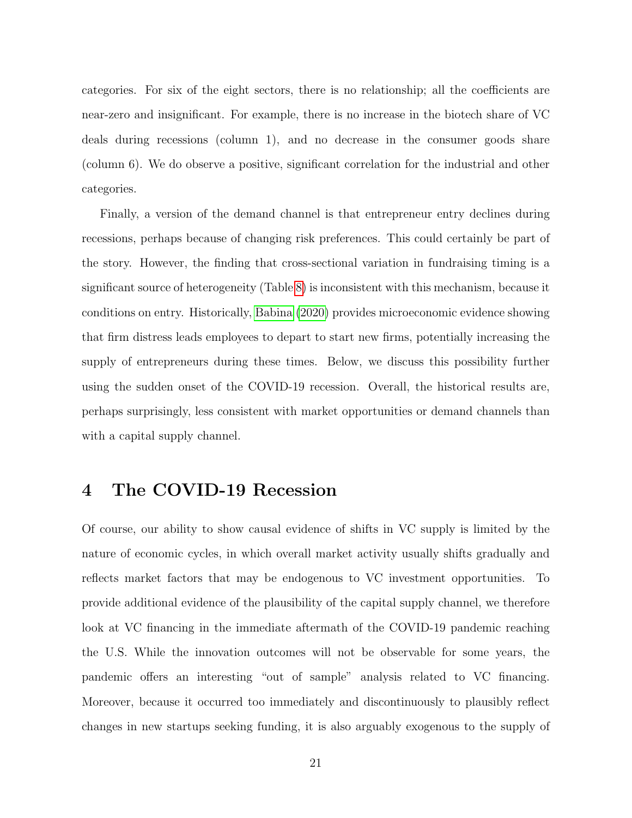categories. For six of the eight sectors, there is no relationship; all the coefficients are near-zero and insignificant. For example, there is no increase in the biotech share of VC deals during recessions (column 1), and no decrease in the consumer goods share (column 6). We do observe a positive, significant correlation for the industrial and other categories.

Finally, a version of the demand channel is that entrepreneur entry declines during recessions, perhaps because of changing risk preferences. This could certainly be part of the story. However, the finding that cross-sectional variation in fundraising timing is a significant source of heterogeneity (Table [8\)](#page-45-0) is inconsistent with this mechanism, because it conditions on entry. Historically, [Babina](#page-30-12) [\(2020\)](#page-30-12) provides microeconomic evidence showing that firm distress leads employees to depart to start new firms, potentially increasing the supply of entrepreneurs during these times. Below, we discuss this possibility further using the sudden onset of the COVID-19 recession. Overall, the historical results are, perhaps surprisingly, less consistent with market opportunities or demand channels than with a capital supply channel.

# 4 The COVID-19 Recession

Of course, our ability to show causal evidence of shifts in VC supply is limited by the nature of economic cycles, in which overall market activity usually shifts gradually and reflects market factors that may be endogenous to VC investment opportunities. To provide additional evidence of the plausibility of the capital supply channel, we therefore look at VC financing in the immediate aftermath of the COVID-19 pandemic reaching the U.S. While the innovation outcomes will not be observable for some years, the pandemic offers an interesting "out of sample" analysis related to VC financing. Moreover, because it occurred too immediately and discontinuously to plausibly reflect changes in new startups seeking funding, it is also arguably exogenous to the supply of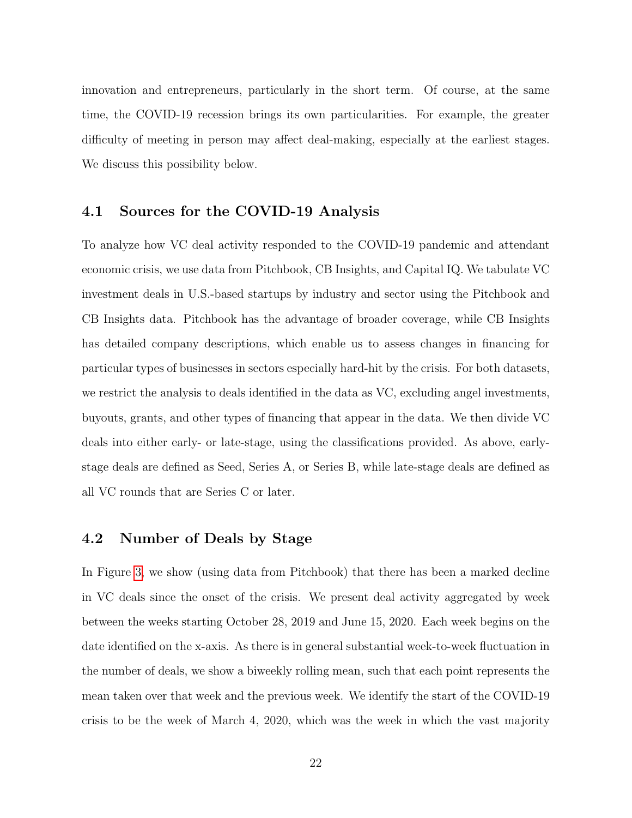innovation and entrepreneurs, particularly in the short term. Of course, at the same time, the COVID-19 recession brings its own particularities. For example, the greater difficulty of meeting in person may affect deal-making, especially at the earliest stages. We discuss this possibility below.

### 4.1 Sources for the COVID-19 Analysis

To analyze how VC deal activity responded to the COVID-19 pandemic and attendant economic crisis, we use data from Pitchbook, CB Insights, and Capital IQ. We tabulate VC investment deals in U.S.-based startups by industry and sector using the Pitchbook and CB Insights data. Pitchbook has the advantage of broader coverage, while CB Insights has detailed company descriptions, which enable us to assess changes in financing for particular types of businesses in sectors especially hard-hit by the crisis. For both datasets, we restrict the analysis to deals identified in the data as VC, excluding angel investments, buyouts, grants, and other types of financing that appear in the data. We then divide VC deals into either early- or late-stage, using the classifications provided. As above, earlystage deals are defined as Seed, Series A, or Series B, while late-stage deals are defined as all VC rounds that are Series C or later.

# 4.2 Number of Deals by Stage

In Figure [3,](#page-36-0) we show (using data from Pitchbook) that there has been a marked decline in VC deals since the onset of the crisis. We present deal activity aggregated by week between the weeks starting October 28, 2019 and June 15, 2020. Each week begins on the date identified on the x-axis. As there is in general substantial week-to-week fluctuation in the number of deals, we show a biweekly rolling mean, such that each point represents the mean taken over that week and the previous week. We identify the start of the COVID-19 crisis to be the week of March 4, 2020, which was the week in which the vast majority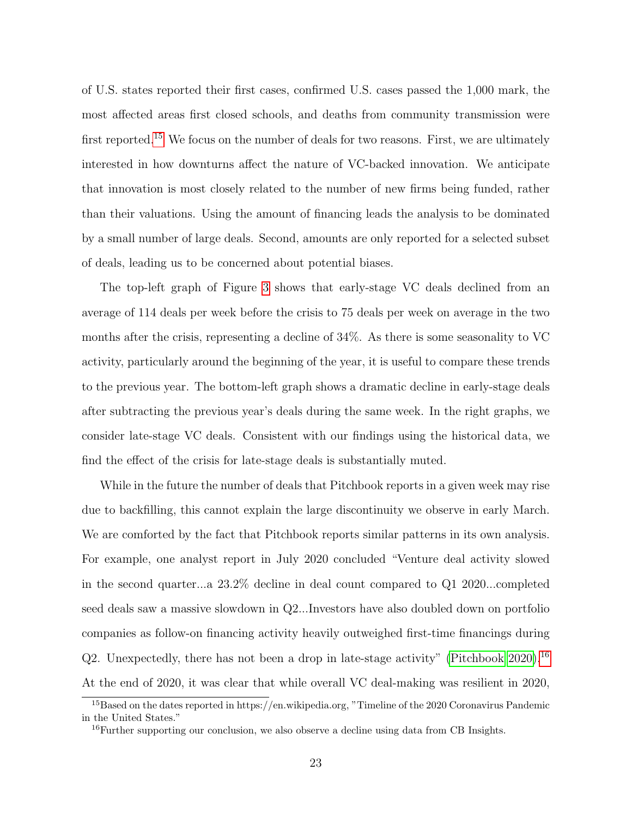of U.S. states reported their first cases, confirmed U.S. cases passed the 1,000 mark, the most affected areas first closed schools, and deaths from community transmission were first reported.<sup>[15](#page-24-0)</sup> We focus on the number of deals for two reasons. First, we are ultimately interested in how downturns affect the nature of VC-backed innovation. We anticipate that innovation is most closely related to the number of new firms being funded, rather than their valuations. Using the amount of financing leads the analysis to be dominated by a small number of large deals. Second, amounts are only reported for a selected subset of deals, leading us to be concerned about potential biases.

The top-left graph of Figure [3](#page-36-0) shows that early-stage VC deals declined from an average of 114 deals per week before the crisis to 75 deals per week on average in the two months after the crisis, representing a decline of 34%. As there is some seasonality to VC activity, particularly around the beginning of the year, it is useful to compare these trends to the previous year. The bottom-left graph shows a dramatic decline in early-stage deals after subtracting the previous year's deals during the same week. In the right graphs, we consider late-stage VC deals. Consistent with our findings using the historical data, we find the effect of the crisis for late-stage deals is substantially muted.

While in the future the number of deals that Pitchbook reports in a given week may rise due to backfilling, this cannot explain the large discontinuity we observe in early March. We are comforted by the fact that Pitchbook reports similar patterns in its own analysis. For example, one analyst report in July 2020 concluded "Venture deal activity slowed in the second quarter...a 23.2% decline in deal count compared to Q1 2020...completed seed deals saw a massive slowdown in Q2...Investors have also doubled down on portfolio companies as follow-on financing activity heavily outweighed first-time financings during Q2. Unexpectedly, there has not been a drop in late-stage activity" [\(Pitchbook 2020\)](#page-33-6).<sup>[16](#page-24-1)</sup> At the end of 2020, it was clear that while overall VC deal-making was resilient in 2020,

<span id="page-24-0"></span><sup>15</sup>Based on the dates reported in https://en.wikipedia.org, "Timeline of the 2020 Coronavirus Pandemic in the United States."

<span id="page-24-1"></span><sup>&</sup>lt;sup>16</sup>Further supporting our conclusion, we also observe a decline using data from CB Insights.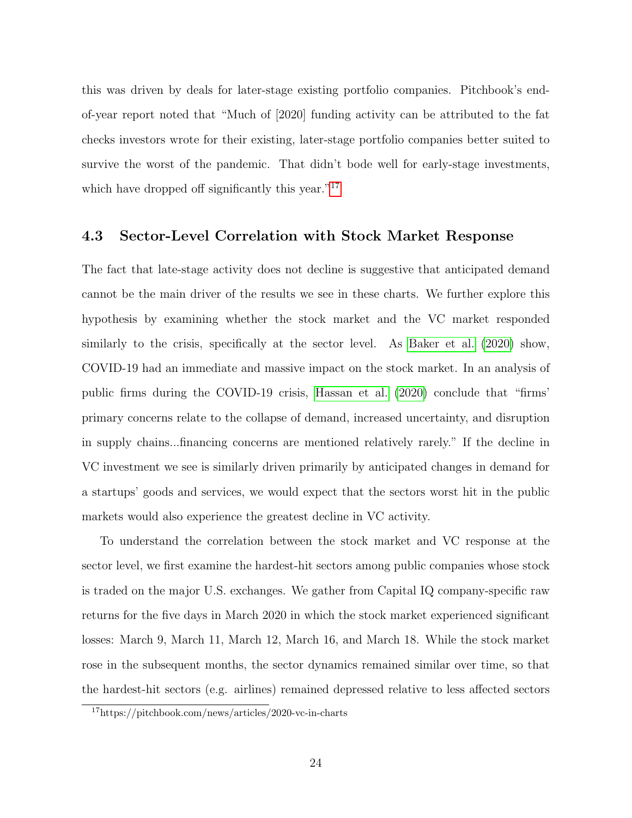this was driven by deals for later-stage existing portfolio companies. Pitchbook's endof-year report noted that "Much of [2020] funding activity can be attributed to the fat checks investors wrote for their existing, later-stage portfolio companies better suited to survive the worst of the pandemic. That didn't bode well for early-stage investments, which have dropped off significantly this year."<sup>[17](#page-25-0)</sup>

## 4.3 Sector-Level Correlation with Stock Market Response

The fact that late-stage activity does not decline is suggestive that anticipated demand cannot be the main driver of the results we see in these charts. We further explore this hypothesis by examining whether the stock market and the VC market responded similarly to the crisis, specifically at the sector level. As [Baker et al.](#page-30-13) [\(2020\)](#page-30-13) show, COVID-19 had an immediate and massive impact on the stock market. In an analysis of public firms during the COVID-19 crisis, [Hassan et al.](#page-32-16) [\(2020\)](#page-32-16) conclude that "firms' primary concerns relate to the collapse of demand, increased uncertainty, and disruption in supply chains...financing concerns are mentioned relatively rarely." If the decline in VC investment we see is similarly driven primarily by anticipated changes in demand for a startups' goods and services, we would expect that the sectors worst hit in the public markets would also experience the greatest decline in VC activity.

To understand the correlation between the stock market and VC response at the sector level, we first examine the hardest-hit sectors among public companies whose stock is traded on the major U.S. exchanges. We gather from Capital IQ company-specific raw returns for the five days in March 2020 in which the stock market experienced significant losses: March 9, March 11, March 12, March 16, and March 18. While the stock market rose in the subsequent months, the sector dynamics remained similar over time, so that the hardest-hit sectors (e.g. airlines) remained depressed relative to less affected sectors

<span id="page-25-0"></span><sup>17</sup>https://pitchbook.com/news/articles/2020-vc-in-charts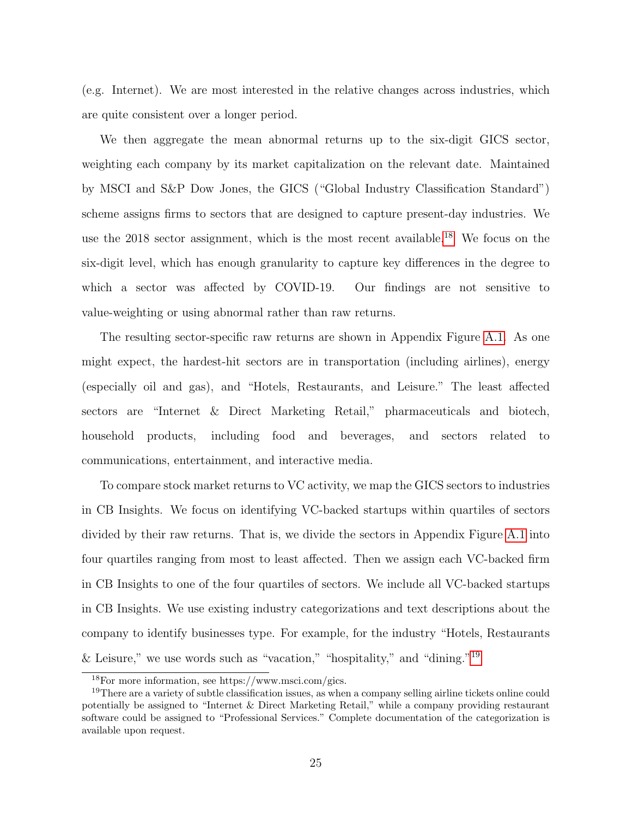(e.g. Internet). We are most interested in the relative changes across industries, which are quite consistent over a longer period.

We then aggregate the mean abnormal returns up to the six-digit GICS sector, weighting each company by its market capitalization on the relevant date. Maintained by MSCI and S&P Dow Jones, the GICS ("Global Industry Classification Standard") scheme assigns firms to sectors that are designed to capture present-day industries. We use the 20[18](#page-26-0) sector assignment, which is the most recent available.<sup>18</sup> We focus on the six-digit level, which has enough granularity to capture key differences in the degree to which a sector was affected by COVID-19. Our findings are not sensitive to value-weighting or using abnormal rather than raw returns.

The resulting sector-specific raw returns are shown in Appendix Figure [A.1.](#page-51-0) As one might expect, the hardest-hit sectors are in transportation (including airlines), energy (especially oil and gas), and "Hotels, Restaurants, and Leisure." The least affected sectors are "Internet & Direct Marketing Retail," pharmaceuticals and biotech, household products, including food and beverages, and sectors related to communications, entertainment, and interactive media.

To compare stock market returns to VC activity, we map the GICS sectors to industries in CB Insights. We focus on identifying VC-backed startups within quartiles of sectors divided by their raw returns. That is, we divide the sectors in Appendix Figure [A.1](#page-51-0) into four quartiles ranging from most to least affected. Then we assign each VC-backed firm in CB Insights to one of the four quartiles of sectors. We include all VC-backed startups in CB Insights. We use existing industry categorizations and text descriptions about the company to identify businesses type. For example, for the industry "Hotels, Restaurants & Leisure," we use words such as "vacation," "hospitality," and "dining."<sup>[19](#page-26-1)</sup>

<span id="page-26-1"></span><span id="page-26-0"></span><sup>18</sup>For more information, see https://www.msci.com/gics.

<sup>&</sup>lt;sup>19</sup>There are a variety of subtle classification issues, as when a company selling airline tickets online could potentially be assigned to "Internet & Direct Marketing Retail," while a company providing restaurant software could be assigned to "Professional Services." Complete documentation of the categorization is available upon request.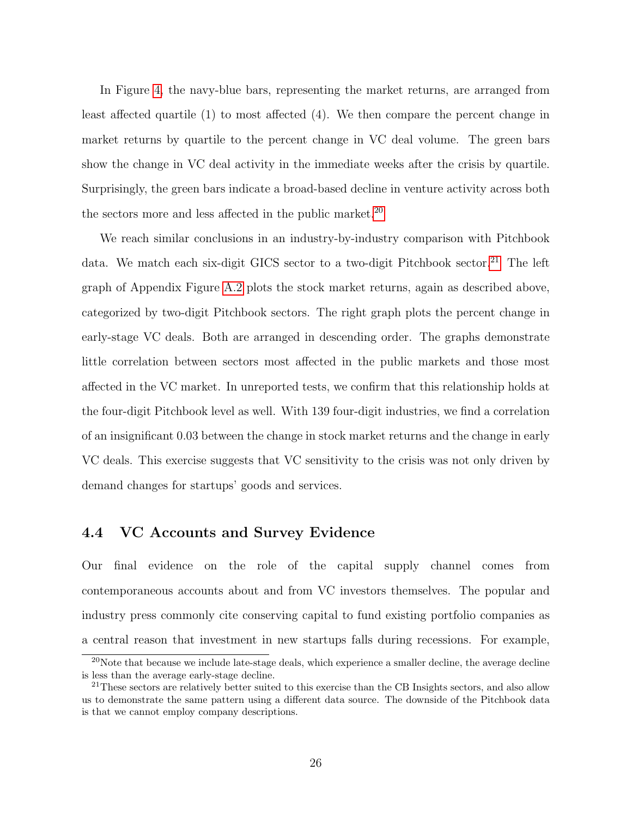In Figure [4,](#page-37-0) the navy-blue bars, representing the market returns, are arranged from least affected quartile (1) to most affected (4). We then compare the percent change in market returns by quartile to the percent change in VC deal volume. The green bars show the change in VC deal activity in the immediate weeks after the crisis by quartile. Surprisingly, the green bars indicate a broad-based decline in venture activity across both the sectors more and less affected in the public market.<sup>[20](#page-27-0)</sup>

We reach similar conclusions in an industry-by-industry comparison with Pitchbook data. We match each six-digit GICS sector to a two-digit Pitchbook sector.<sup>[21](#page-27-1)</sup> The left graph of Appendix Figure [A.2](#page-52-0) plots the stock market returns, again as described above, categorized by two-digit Pitchbook sectors. The right graph plots the percent change in early-stage VC deals. Both are arranged in descending order. The graphs demonstrate little correlation between sectors most affected in the public markets and those most affected in the VC market. In unreported tests, we confirm that this relationship holds at the four-digit Pitchbook level as well. With 139 four-digit industries, we find a correlation of an insignificant 0.03 between the change in stock market returns and the change in early VC deals. This exercise suggests that VC sensitivity to the crisis was not only driven by demand changes for startups' goods and services.

## 4.4 VC Accounts and Survey Evidence

Our final evidence on the role of the capital supply channel comes from contemporaneous accounts about and from VC investors themselves. The popular and industry press commonly cite conserving capital to fund existing portfolio companies as a central reason that investment in new startups falls during recessions. For example,

<span id="page-27-0"></span><sup>&</sup>lt;sup>20</sup>Note that because we include late-stage deals, which experience a smaller decline, the average decline is less than the average early-stage decline.

<span id="page-27-1"></span><sup>&</sup>lt;sup>21</sup>These sectors are relatively better suited to this exercise than the CB Insights sectors, and also allow us to demonstrate the same pattern using a different data source. The downside of the Pitchbook data is that we cannot employ company descriptions.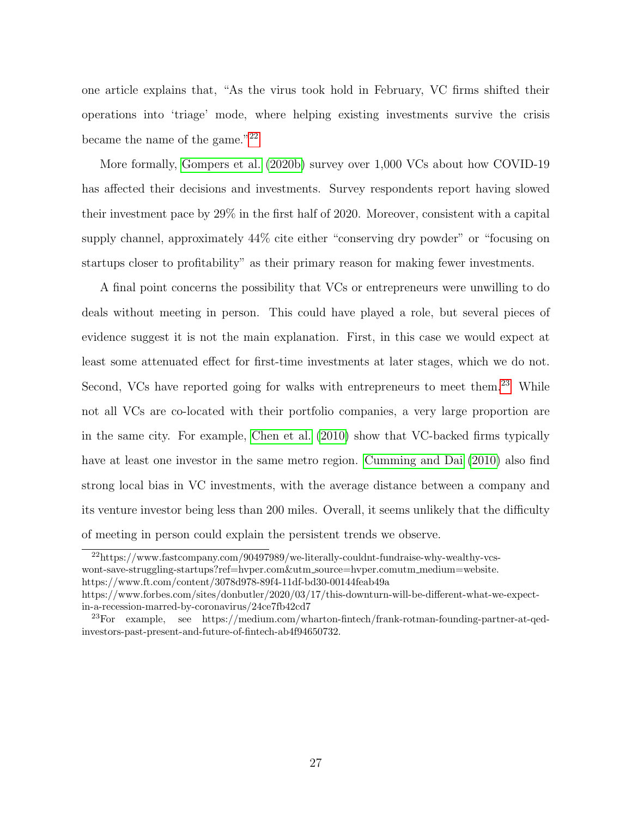one article explains that, "As the virus took hold in February, VC firms shifted their operations into 'triage' mode, where helping existing investments survive the crisis became the name of the game."[22](#page-28-0)

More formally, [Gompers et al.](#page-31-14) [\(2020b\)](#page-31-14) survey over 1,000 VCs about how COVID-19 has affected their decisions and investments. Survey respondents report having slowed their investment pace by 29% in the first half of 2020. Moreover, consistent with a capital supply channel, approximately 44% cite either "conserving dry powder" or "focusing on startups closer to profitability" as their primary reason for making fewer investments.

A final point concerns the possibility that VCs or entrepreneurs were unwilling to do deals without meeting in person. This could have played a role, but several pieces of evidence suggest it is not the main explanation. First, in this case we would expect at least some attenuated effect for first-time investments at later stages, which we do not. Second, VCs have reported going for walks with entrepreneurs to meet them.<sup>[23](#page-28-1)</sup> While not all VCs are co-located with their portfolio companies, a very large proportion are in the same city. For example, [Chen et al.](#page-31-15) [\(2010\)](#page-31-15) show that VC-backed firms typically have at least one investor in the same metro region. [Cumming and Dai](#page-31-16) [\(2010\)](#page-31-16) also find strong local bias in VC investments, with the average distance between a company and its venture investor being less than 200 miles. Overall, it seems unlikely that the difficulty of meeting in person could explain the persistent trends we observe.

<span id="page-28-0"></span><sup>22</sup>https://www.fastcompany.com/90497989/we-literally-couldnt-fundraise-why-wealthy-vcswont-save-struggling-startups?ref=hvper.com&utm source=hvper.comutm medium=website. https://www.ft.com/content/3078d978-89f4-11df-bd30-00144feab49a

https://www.forbes.com/sites/donbutler/2020/03/17/this-downturn-will-be-different-what-we-expectin-a-recession-marred-by-coronavirus/24ce7fb42cd7

<span id="page-28-1"></span><sup>23</sup>For example, see https://medium.com/wharton-fintech/frank-rotman-founding-partner-at-qedinvestors-past-present-and-future-of-fintech-ab4f94650732.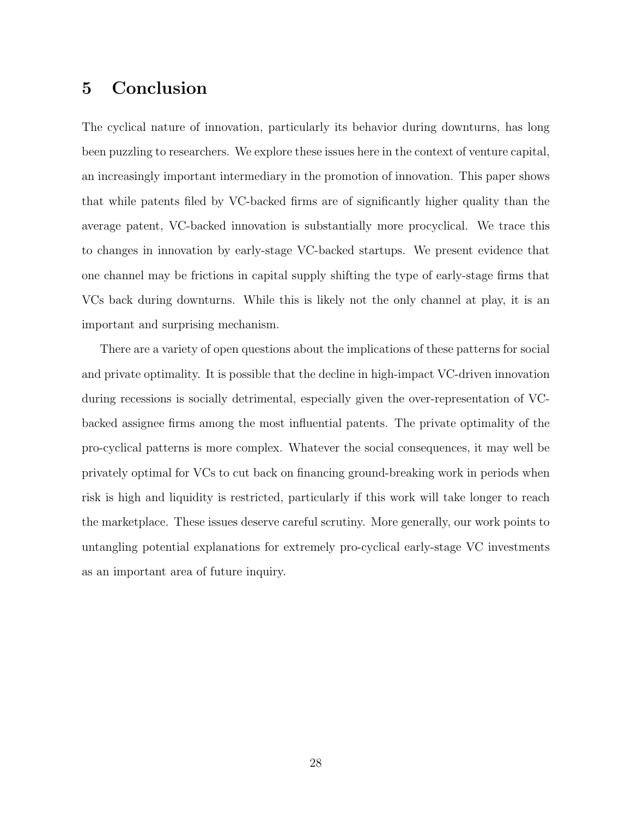# 5 Conclusion

The cyclical nature of innovation, particularly its behavior during downturns, has long been puzzling to researchers. We explore these issues here in the context of venture capital, an increasingly important intermediary in the promotion of innovation. This paper shows that while patents filed by VC-backed firms are of significantly higher quality than the average patent, VC-backed innovation is substantially more procyclical. We trace this to changes in innovation by early-stage VC-backed startups. We present evidence that one channel may be frictions in capital supply shifting the type of early-stage firms that VCs back during downturns. While this is likely not the only channel at play, it is an important and surprising mechanism.

There are a variety of open questions about the implications of these patterns for social and private optimality. It is possible that the decline in high-impact VC-driven innovation during recessions is socially detrimental, especially given the over-representation of VCbacked assignee firms among the most influential patents. The private optimality of the pro-cyclical patterns is more complex. Whatever the social consequences, it may well be privately optimal for VCs to cut back on financing ground-breaking work in periods when risk is high and liquidity is restricted, particularly if this work will take longer to reach the marketplace. These issues deserve careful scrutiny. More generally, our work points to untangling potential explanations for extremely pro-cyclical early-stage VC investments as an important area of future inquiry.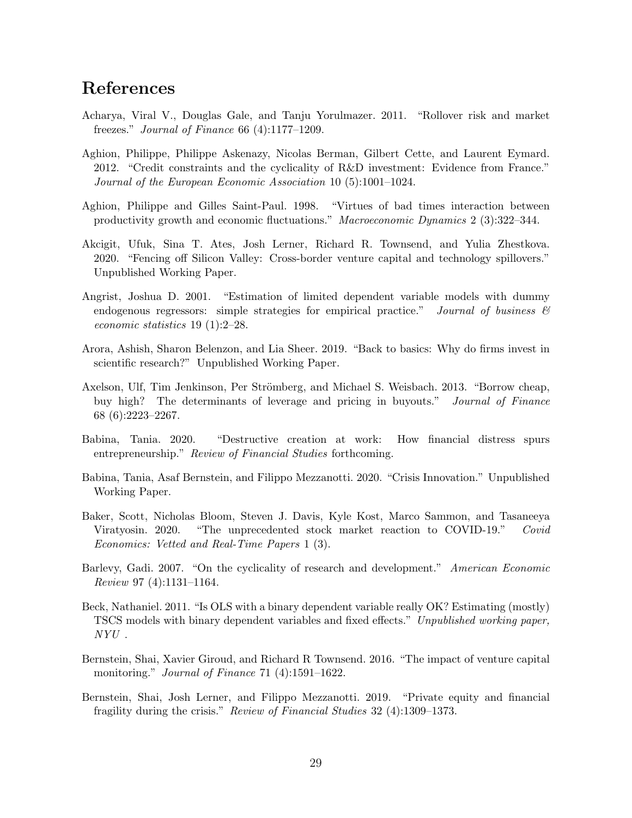# References

- <span id="page-30-3"></span>Acharya, Viral V., Douglas Gale, and Tanju Yorulmazer. 2011. "Rollover risk and market freezes." Journal of Finance 66 (4):1177–1209.
- <span id="page-30-4"></span>Aghion, Philippe, Philippe Askenazy, Nicolas Berman, Gilbert Cette, and Laurent Eymard. 2012. "Credit constraints and the cyclicality of R&D investment: Evidence from France." Journal of the European Economic Association 10 (5):1001–1024.
- <span id="page-30-5"></span>Aghion, Philippe and Gilles Saint-Paul. 1998. "Virtues of bad times interaction between productivity growth and economic fluctuations." Macroeconomic Dynamics 2 (3):322–344.
- <span id="page-30-1"></span>Akcigit, Ufuk, Sina T. Ates, Josh Lerner, Richard R. Townsend, and Yulia Zhestkova. 2020. "Fencing off Silicon Valley: Cross-border venture capital and technology spillovers." Unpublished Working Paper.
- <span id="page-30-10"></span>Angrist, Joshua D. 2001. "Estimation of limited dependent variable models with dummy endogenous regressors: simple strategies for empirical practice." Journal of business  $\mathcal{C}$ economic statistics 19 (1):2–28.
- <span id="page-30-0"></span>Arora, Ashish, Sharon Belenzon, and Lia Sheer. 2019. "Back to basics: Why do firms invest in scientific research?" Unpublished Working Paper.
- <span id="page-30-8"></span>Axelson, Ulf, Tim Jenkinson, Per Strömberg, and Michael S. Weisbach. 2013. "Borrow cheap, buy high? The determinants of leverage and pricing in buyouts." Journal of Finance 68 (6):2223–2267.
- <span id="page-30-12"></span>Babina, Tania. 2020. "Destructive creation at work: How financial distress spurs entrepreneurship." Review of Financial Studies forthcoming.
- <span id="page-30-7"></span>Babina, Tania, Asaf Bernstein, and Filippo Mezzanotti. 2020. "Crisis Innovation." Unpublished Working Paper.
- <span id="page-30-13"></span>Baker, Scott, Nicholas Bloom, Steven J. Davis, Kyle Kost, Marco Sammon, and Tasaneeya Viratyosin. 2020. "The unprecedented stock market reaction to COVID-19." Covid Economics: Vetted and Real-Time Papers 1 (3).
- <span id="page-30-6"></span>Barlevy, Gadi. 2007. "On the cyclicality of research and development." American Economic Review 97 (4):1131–1164.
- <span id="page-30-11"></span>Beck, Nathaniel. 2011. "Is OLS with a binary dependent variable really OK? Estimating (mostly) TSCS models with binary dependent variables and fixed effects." Unpublished working paper,  $NYU$ .
- <span id="page-30-9"></span>Bernstein, Shai, Xavier Giroud, and Richard R Townsend. 2016. "The impact of venture capital monitoring." *Journal of Finance* 71 (4):1591–1622.
- <span id="page-30-2"></span>Bernstein, Shai, Josh Lerner, and Filippo Mezzanotti. 2019. "Private equity and financial fragility during the crisis." Review of Financial Studies 32 (4):1309–1373.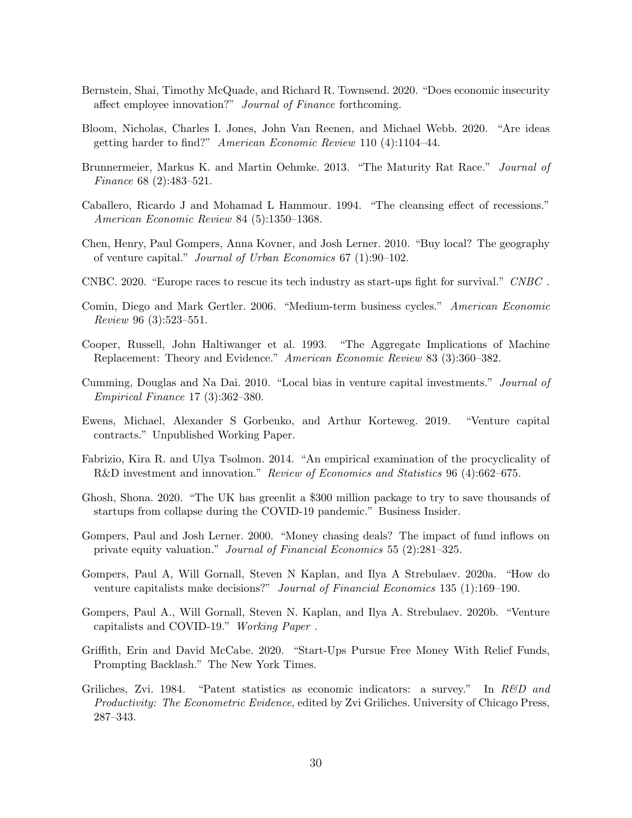- <span id="page-31-11"></span>Bernstein, Shai, Timothy McQuade, and Richard R. Townsend. 2020. "Does economic insecurity affect employee innovation?" Journal of Finance forthcoming.
- <span id="page-31-0"></span>Bloom, Nicholas, Charles I. Jones, John Van Reenen, and Michael Webb. 2020. "Are ideas getting harder to find?" American Economic Review 110 (4):1104–44.
- <span id="page-31-5"></span>Brunnermeier, Markus K. and Martin Oehmke. 2013. "The Maturity Rat Race." Journal of Finance 68 (2):483–521.
- <span id="page-31-6"></span>Caballero, Ricardo J and Mohamad L Hammour. 1994. "The cleansing effect of recessions." American Economic Review 84 (5):1350–1368.
- <span id="page-31-15"></span>Chen, Henry, Paul Gompers, Anna Kovner, and Josh Lerner. 2010. "Buy local? The geography of venture capital." Journal of Urban Economics 67 (1):90–102.
- <span id="page-31-1"></span>CNBC. 2020. "Europe races to rescue its tech industry as start-ups fight for survival." CNBC .
- <span id="page-31-9"></span>Comin, Diego and Mark Gertler. 2006. "Medium-term business cycles." American Economic Review 96 (3):523–551.
- <span id="page-31-7"></span>Cooper, Russell, John Haltiwanger et al. 1993. "The Aggregate Implications of Machine Replacement: Theory and Evidence." American Economic Review 83 (3):360–382.
- <span id="page-31-16"></span>Cumming, Douglas and Na Dai. 2010. "Local bias in venture capital investments." Journal of Empirical Finance 17 (3):362–380.
- <span id="page-31-13"></span>Ewens, Michael, Alexander S Gorbenko, and Arthur Korteweg. 2019. "Venture capital contracts." Unpublished Working Paper.
- <span id="page-31-10"></span>Fabrizio, Kira R. and Ulya Tsolmon. 2014. "An empirical examination of the procyclicality of R&D investment and innovation." Review of Economics and Statistics 96 (4):662–675.
- <span id="page-31-3"></span>Ghosh, Shona. 2020. "The UK has greenlit a \$300 million package to try to save thousands of startups from collapse during the COVID-19 pandemic." Business Insider.
- <span id="page-31-12"></span>Gompers, Paul and Josh Lerner. 2000. "Money chasing deals? The impact of fund inflows on private equity valuation." Journal of Financial Economics 55 (2):281–325.
- <span id="page-31-4"></span>Gompers, Paul A, Will Gornall, Steven N Kaplan, and Ilya A Strebulaev. 2020a. "How do venture capitalists make decisions?" Journal of Financial Economics 135 (1):169–190.
- <span id="page-31-14"></span>Gompers, Paul A., Will Gornall, Steven N. Kaplan, and Ilya A. Strebulaev. 2020b. "Venture capitalists and COVID-19." Working Paper .
- <span id="page-31-2"></span>Griffith, Erin and David McCabe. 2020. "Start-Ups Pursue Free Money With Relief Funds, Prompting Backlash." The New York Times.
- <span id="page-31-8"></span>Griliches, Zvi. 1984. "Patent statistics as economic indicators: a survey." In R&D and Productivity: The Econometric Evidence, edited by Zvi Griliches. University of Chicago Press, 287–343.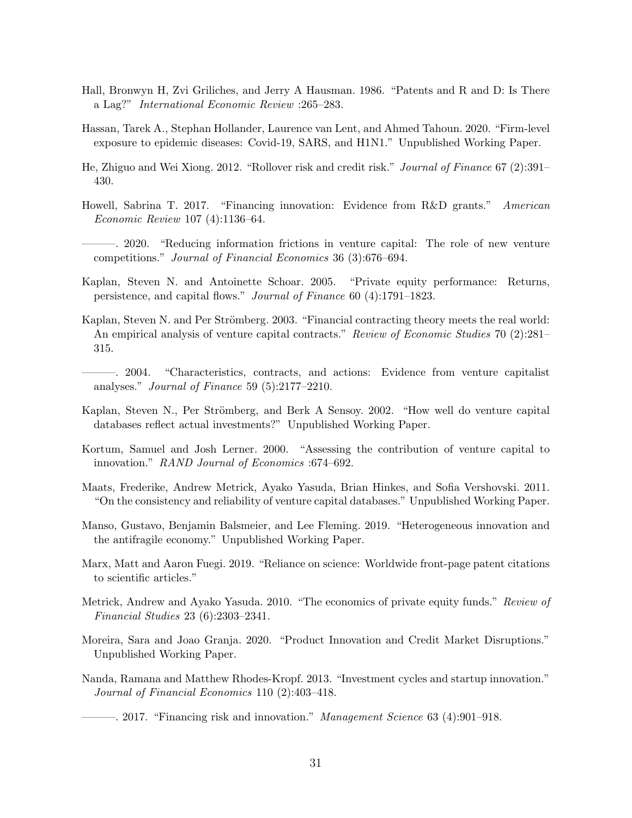- <span id="page-32-13"></span>Hall, Bronwyn H, Zvi Griliches, and Jerry A Hausman. 1986. "Patents and R and D: Is There a Lag?" International Economic Review :265–283.
- <span id="page-32-16"></span>Hassan, Tarek A., Stephan Hollander, Laurence van Lent, and Ahmed Tahoun. 2020. "Firm-level exposure to epidemic diseases: Covid-19, SARS, and H1N1." Unpublished Working Paper.
- <span id="page-32-1"></span>He, Zhiguo and Wei Xiong. 2012. "Rollover risk and credit risk." Journal of Finance 67 (2):391– 430.
- <span id="page-32-9"></span>Howell, Sabrina T. 2017. "Financing innovation: Evidence from R&D grants." American Economic Review 107 (4):1136–64.

<span id="page-32-10"></span>———. 2020. "Reducing information frictions in venture capital: The role of new venture competitions." Journal of Financial Economics 36 (3):676–694.

- <span id="page-32-6"></span>Kaplan, Steven N. and Antoinette Schoar. 2005. "Private equity performance: Returns, persistence, and capital flows." Journal of Finance 60 (4):1791–1823.
- <span id="page-32-7"></span>Kaplan, Steven N. and Per Strömberg. 2003. "Financial contracting theory meets the real world: An empirical analysis of venture capital contracts." Review of Economic Studies 70 (2):281– 315.
- <span id="page-32-8"></span>———. 2004. "Characteristics, contracts, and actions: Evidence from venture capitalist analyses." Journal of Finance 59 (5):2177–2210.
- <span id="page-32-12"></span>Kaplan, Steven N., Per Strömberg, and Berk A Sensoy. 2002. "How well do venture capital databases reflect actual investments?" Unpublished Working Paper.
- <span id="page-32-0"></span>Kortum, Samuel and Josh Lerner. 2000. "Assessing the contribution of venture capital to innovation." RAND Journal of Economics :674–692.
- <span id="page-32-11"></span>Maats, Frederike, Andrew Metrick, Ayako Yasuda, Brian Hinkes, and Sofia Vershovski. 2011. "On the consistency and reliability of venture capital databases." Unpublished Working Paper.
- <span id="page-32-4"></span>Manso, Gustavo, Benjamin Balsmeier, and Lee Fleming. 2019. "Heterogeneous innovation and the antifragile economy." Unpublished Working Paper.
- <span id="page-32-15"></span>Marx, Matt and Aaron Fuegi. 2019. "Reliance on science: Worldwide front-page patent citations to scientific articles."
- <span id="page-32-14"></span>Metrick, Andrew and Ayako Yasuda. 2010. "The economics of private equity funds." Review of Financial Studies 23 (6):2303–2341.
- <span id="page-32-5"></span>Moreira, Sara and Joao Granja. 2020. "Product Innovation and Credit Market Disruptions." Unpublished Working Paper.
- <span id="page-32-3"></span>Nanda, Ramana and Matthew Rhodes-Kropf. 2013. "Investment cycles and startup innovation." Journal of Financial Economics 110 (2):403–418.

<span id="page-32-2"></span> $-$ , 2017. "Financing risk and innovation." *Management Science* 63 (4):901–918.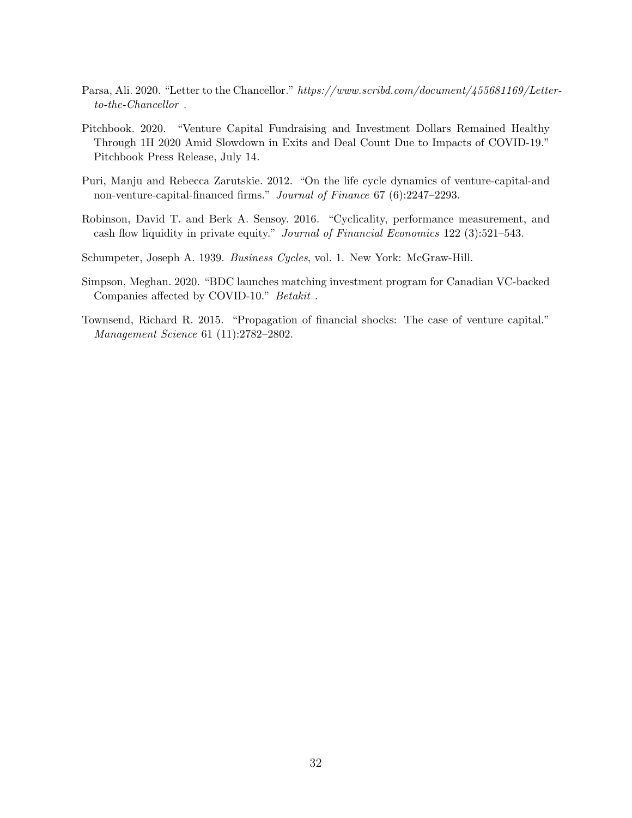- <span id="page-33-1"></span>Parsa, Ali. 2020. "Letter to the Chancellor." https://www.scribd.com/document/455681169/Letterto-the-Chancellor .
- <span id="page-33-6"></span>Pitchbook. 2020. "Venture Capital Fundraising and Investment Dollars Remained Healthy Through 1H 2020 Amid Slowdown in Exits and Deal Count Due to Impacts of COVID-19." Pitchbook Press Release, July 14.
- <span id="page-33-2"></span>Puri, Manju and Rebecca Zarutskie. 2012. "On the life cycle dynamics of venture-capital-and non-venture-capital-financed firms." Journal of Finance 67 (6):2247–2293.
- <span id="page-33-5"></span>Robinson, David T. and Berk A. Sensoy. 2016. "Cyclicality, performance measurement, and cash flow liquidity in private equity." Journal of Financial Economics 122 (3):521–543.
- <span id="page-33-4"></span>Schumpeter, Joseph A. 1939. Business Cycles, vol. 1. New York: McGraw-Hill.
- <span id="page-33-0"></span>Simpson, Meghan. 2020. "BDC launches matching investment program for Canadian VC-backed Companies affected by COVID-10."  $\textit{Betakit}{}$  .
- <span id="page-33-3"></span>Townsend, Richard R. 2015. "Propagation of financial shocks: The case of venture capital." Management Science 61 (11):2782–2802.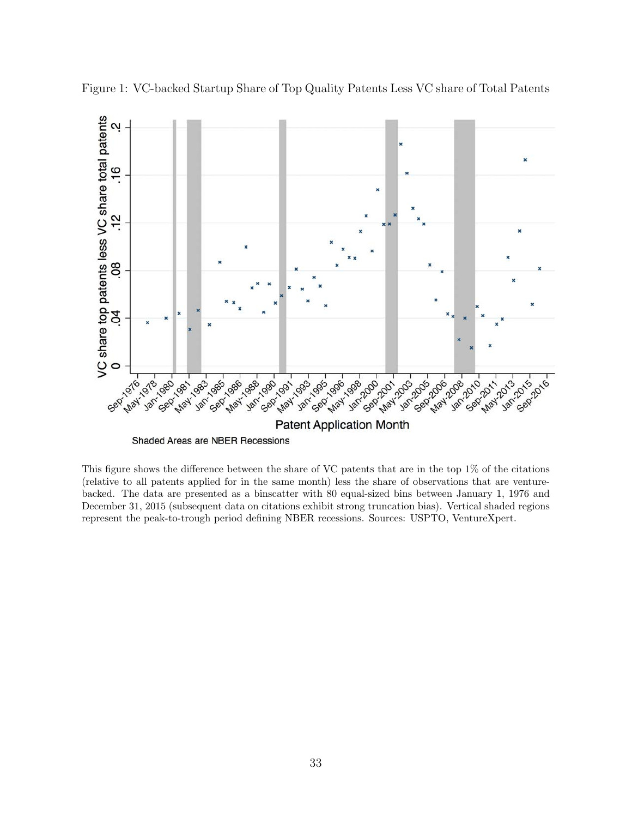

<span id="page-34-0"></span>Figure 1: VC-backed Startup Share of Top Quality Patents Less VC share of Total Patents

This figure shows the difference between the share of VC patents that are in the top 1% of the citations (relative to all patents applied for in the same month) less the share of observations that are venturebacked. The data are presented as a binscatter with 80 equal-sized bins between January 1, 1976 and December 31, 2015 (subsequent data on citations exhibit strong truncation bias). Vertical shaded regions represent the peak-to-trough period defining NBER recessions. Sources: USPTO, VentureXpert.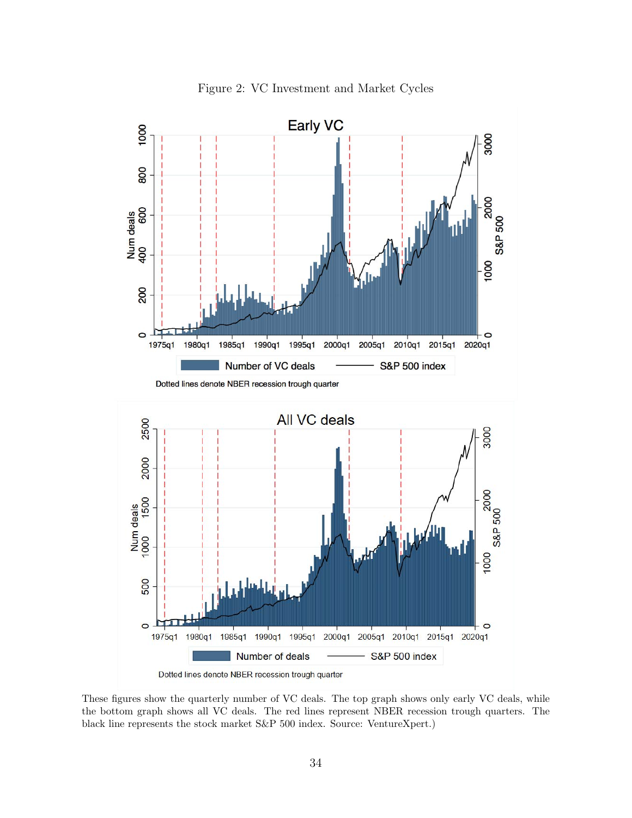<span id="page-35-0"></span>

Figure 2: VC Investment and Market Cycles

These figures show the quarterly number of VC deals. The top graph shows only early VC deals, while the bottom graph shows all VC deals. The red lines represent NBER recession trough quarters. The black line represents the stock market S&P 500 index. Source: VentureXpert.)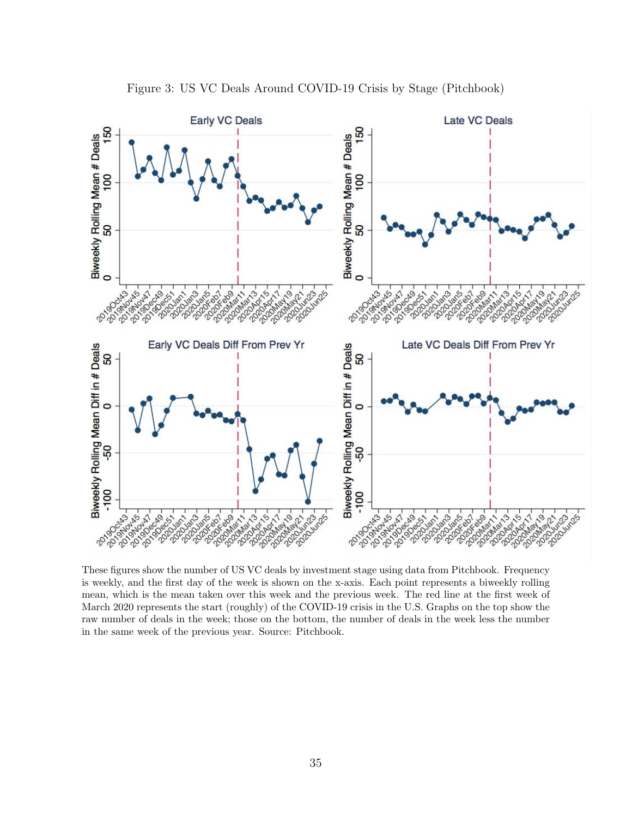<span id="page-36-0"></span>

Figure 3: US VC Deals Around COVID-19 Crisis by Stage (Pitchbook)

These figures show the number of US VC deals by investment stage using data from Pitchbook. Frequency is weekly, and the first day of the week is shown on the x-axis. Each point represents a biweekly rolling mean, which is the mean taken over this week and the previous week. The red line at the first week of March 2020 represents the start (roughly) of the COVID-19 crisis in the U.S. Graphs on the top show the raw number of deals in the week; those on the bottom, the number of deals in the week less the number in the same week of the previous year. Source: Pitchbook.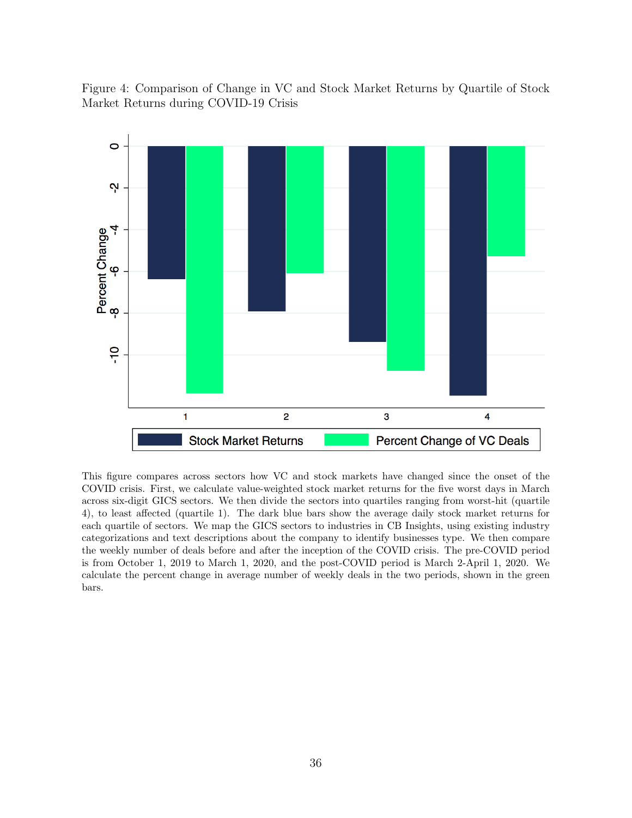<span id="page-37-0"></span>Figure 4: Comparison of Change in VC and Stock Market Returns by Quartile of Stock Market Returns during COVID-19 Crisis



This figure compares across sectors how VC and stock markets have changed since the onset of the COVID crisis. First, we calculate value-weighted stock market returns for the five worst days in March across six-digit GICS sectors. We then divide the sectors into quartiles ranging from worst-hit (quartile 4), to least affected (quartile 1). The dark blue bars show the average daily stock market returns for each quartile of sectors. We map the GICS sectors to industries in CB Insights, using existing industry categorizations and text descriptions about the company to identify businesses type. We then compare the weekly number of deals before and after the inception of the COVID crisis. The pre-COVID period is from October 1, 2019 to March 1, 2020, and the post-COVID period is March 2-April 1, 2020. We calculate the percent change in average number of weekly deals in the two periods, shown in the green bars.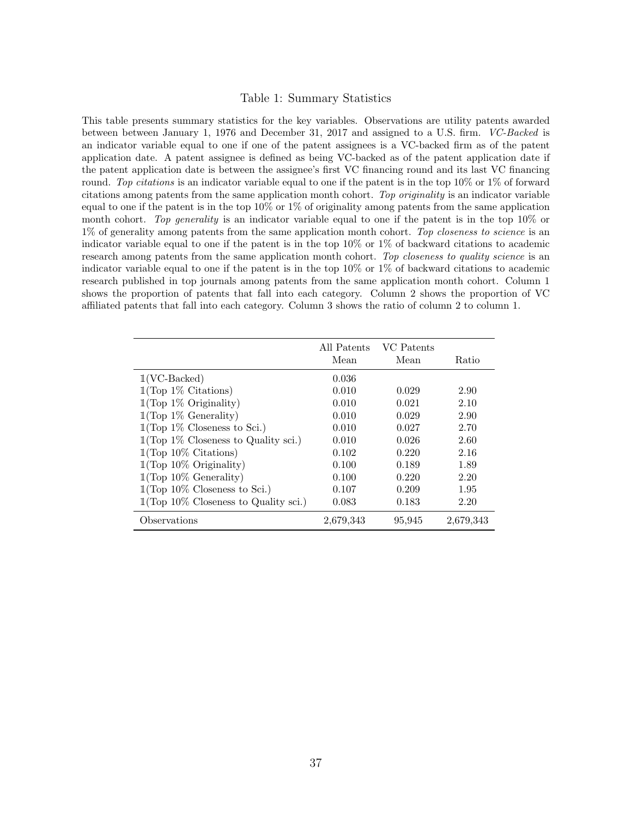#### Table 1: Summary Statistics

<span id="page-38-0"></span>This table presents summary statistics for the key variables. Observations are utility patents awarded between between January 1, 1976 and December 31, 2017 and assigned to a U.S. firm. VC-Backed is an indicator variable equal to one if one of the patent assignees is a VC-backed firm as of the patent application date. A patent assignee is defined as being VC-backed as of the patent application date if the patent application date is between the assignee's first VC financing round and its last VC financing round. Top citations is an indicator variable equal to one if the patent is in the top 10% or 1% of forward citations among patents from the same application month cohort. Top originality is an indicator variable equal to one if the patent is in the top  $10\%$  or  $1\%$  of originality among patents from the same application month cohort. Top generality is an indicator variable equal to one if the patent is in the top  $10\%$  or 1% of generality among patents from the same application month cohort. Top closeness to science is an indicator variable equal to one if the patent is in the top 10% or 1% of backward citations to academic research among patents from the same application month cohort. Top closeness to quality science is an indicator variable equal to one if the patent is in the top  $10\%$  or  $1\%$  of backward citations to academic research published in top journals among patents from the same application month cohort. Column 1 shows the proportion of patents that fall into each category. Column 2 shows the proportion of VC affiliated patents that fall into each category. Column 3 shows the ratio of column 2 to column 1.

|                                         | All Patents<br>Mean | VC Patents<br>Mean | Ratio     |
|-----------------------------------------|---------------------|--------------------|-----------|
| $1(VC\text{-Backed})$                   | 0.036               |                    |           |
| $1$ (Top 1% Citations)                  | 0.010               | 0.029              | 2.90      |
| $1$ (Top 1% Originality)                | 0.010               | 0.021              | 2.10      |
| $1$ (Top 1% Generality)                 | 0.010               | 0.029              | 2.90      |
| $1$ (Top 1% Closeness to Sci.)          | 0.010               | 0.027              | 2.70      |
| $1$ (Top 1% Closeness to Quality sci.)  | 0.010               | 0.026              | 2.60      |
| $1$ (Top 10% Citations)                 | 0.102               | 0.220              | 2.16      |
| $1$ (Top 10% Originality)               | 0.100               | 0.189              | 1.89      |
| $1$ (Top 10% Generality)                | 0.100               | 0.220              | 2.20      |
| $1$ (Top 10% Closeness to Sci.)         | 0.107               | 0.209              | 1.95      |
| $1$ (Top 10% Closeness to Quality sci.) | 0.083               | 0.183              | 2.20      |
| Observations                            | 2,679,343           | 95,945             | 2,679,343 |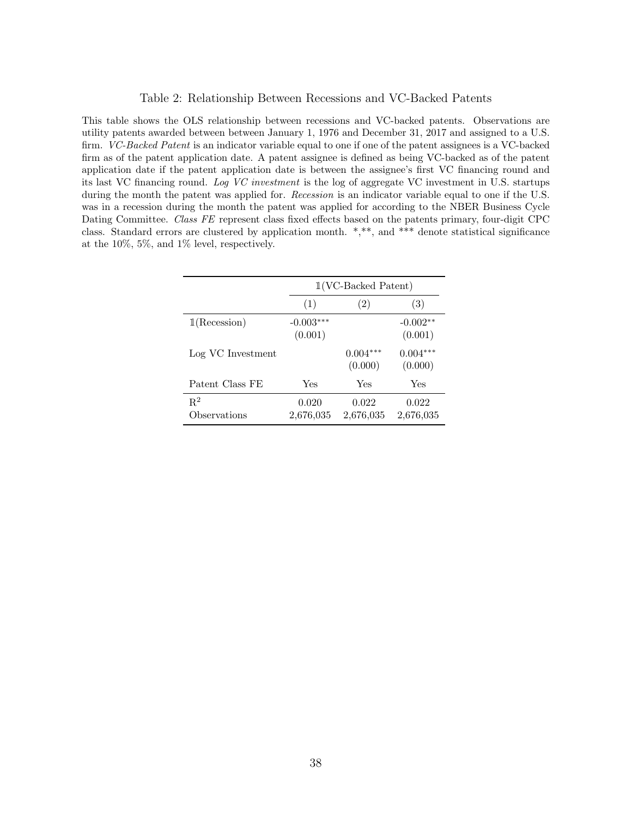#### Table 2: Relationship Between Recessions and VC-Backed Patents

<span id="page-39-0"></span>This table shows the OLS relationship between recessions and VC-backed patents. Observations are utility patents awarded between between January 1, 1976 and December 31, 2017 and assigned to a U.S. firm. VC-Backed Patent is an indicator variable equal to one if one of the patent assignees is a VC-backed firm as of the patent application date. A patent assignee is defined as being VC-backed as of the patent application date if the patent application date is between the assignee's first VC financing round and its last VC financing round. Log VC investment is the log of aggregate VC investment in U.S. startups during the month the patent was applied for. *Recession* is an indicator variable equal to one if the U.S. was in a recession during the month the patent was applied for according to the NBER Business Cycle Dating Committee. Class FE represent class fixed effects based on the patents primary, four-digit CPC class. Standard errors are clustered by application month. \*,\*\*, and \*\*\* denote statistical significance at the 10%, 5%, and 1% level, respectively.

|                       |                        | $1(VC\text{-Backed Patent})$ |                       |
|-----------------------|------------------------|------------------------------|-----------------------|
|                       | (1)                    | (2)                          | (3)                   |
| 1(Recession)          | $-0.003***$<br>(0.001) |                              | $-0.002**$<br>(0.001) |
| Log VC Investment     |                        | $0.004***$<br>(0.000)        | $0.004***$<br>(0.000) |
| Patent Class FE       | Yes                    | Yes                          | Yes                   |
| $R^2$<br>Observations | 0.020<br>2,676,035     | 0.022<br>2,676,035           | 0.022<br>2,676,035    |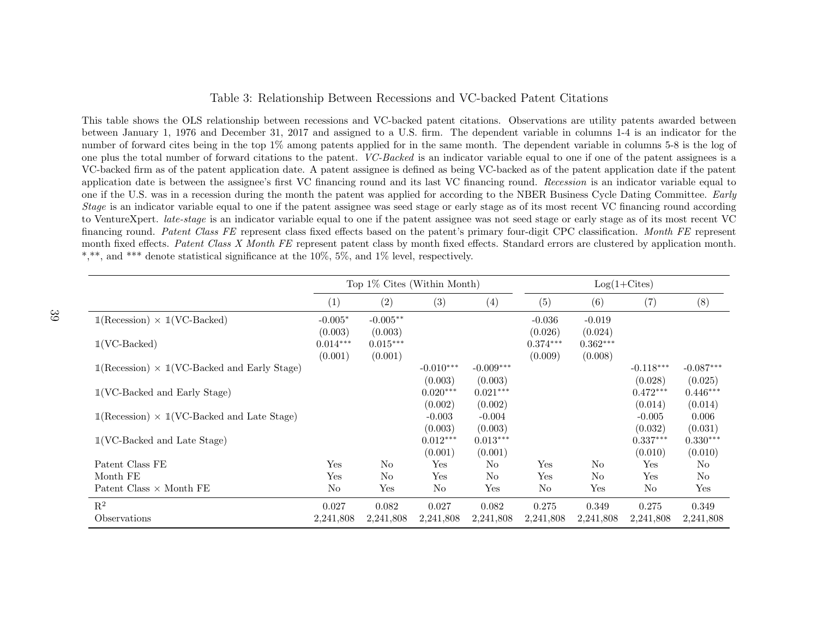#### <span id="page-40-1"></span>Table 3: Relationship Between Recessions and VC-backed Patent Citations

This table shows the OLS relationship between recessions and VC-backed patent citations. Observations are utility patents awarded between between January 1, 1976 and December 31, 2017 and assigned to <sup>a</sup> U.S. firm. The dependent variable in columns 1-4 is an indicator for the number of forward cites being in the top 1% among patents applied for in the same month. The dependent variable in columns 5-8 is the log of one plus the total number of forward citations to the patent. VC-Backed is an indicator variable equa<sup>l</sup> to one if one of the patent assignees is <sup>a</sup> VC-backed firm as of the patent application date. A patent assignee is defined as being VC-backed as of the patent application date if the patentapplication date is between the assignee's first VC financing round and its last VC financing round. Recession is an indicator variable equal to one if the U.S. was in a recession during the month the patent was applied for according to the NBER Business Cycle Dating Committee. Early *Stage* is an indicator variable equal to one if the patent assignee was seed stage or early stage as of its most recent VC financing round according to VentureXpert. late-stage is an indicator variable equa<sup>l</sup> to one if the patent assignee was not seed stage or early stage as of its most recent VCfinancing round. Patent Class FE represent class fixed effects based on the patent's primary four-digit CPC classification. Month FE represent month fixed effects. Patent Class X Month FE represent patent class by month fixed effects. Standard errors are clustered by application month. \*,\*\*, and \*\*\* denote statistical significance at the 10%, 5%, and 1% level, respectively.

<span id="page-40-0"></span>

|                                                                                    |                | Top 1% Cites (Within Month) |             |                |            |                | $Log(1+Cites)$ |             |
|------------------------------------------------------------------------------------|----------------|-----------------------------|-------------|----------------|------------|----------------|----------------|-------------|
|                                                                                    | (1)            | (2)                         | (3)         | (4)            | (5)        | (6)            | (7)            | (8)         |
| $\mathbb{1}(\text{Recession}) \times \mathbb{1}(\text{VC-Backed})$                 | $-0.005*$      | $-0.005**$                  |             |                | $-0.036$   | $-0.019$       |                |             |
|                                                                                    | (0.003)        | (0.003)                     |             |                | (0.026)    | (0.024)        |                |             |
| $1(VC\text{-Backed})$                                                              | $0.014***$     | $0.015***$                  |             |                | $0.374***$ | $0.362***$     |                |             |
|                                                                                    | (0.001)        | (0.001)                     |             |                | (0.009)    | (0.008)        |                |             |
| $\mathbb{1}(\text{Recession}) \times \mathbb{1}(\text{VC-Backed and Early Stage})$ |                |                             | $-0.010***$ | $-0.009***$    |            |                | $-0.118***$    | $-0.087***$ |
|                                                                                    |                |                             | (0.003)     | (0.003)        |            |                | (0.028)        | (0.025)     |
| $1$ (VC-Backed and Early Stage)                                                    |                |                             | $0.020***$  | $0.021***$     |            |                | $0.472***$     | $0.446***$  |
|                                                                                    |                |                             | (0.002)     | (0.002)        |            |                | (0.014)        | (0.014)     |
| $\mathbb{1}(\text{Recession}) \times \mathbb{1}(\text{VC-Backed and Late Stage})$  |                |                             | $-0.003$    | $-0.004$       |            |                | $-0.005$       | 0.006       |
|                                                                                    |                |                             | (0.003)     | (0.003)        |            |                | (0.032)        | (0.031)     |
| $1$ (VC-Backed and Late Stage)                                                     |                |                             | $0.012***$  | $0.013***$     |            |                | $0.337***$     | $0.330***$  |
|                                                                                    |                |                             | (0.001)     | (0.001)        |            |                | (0.010)        | (0.010)     |
| Patent Class FE                                                                    | Yes            | No                          | Yes         | No             | Yes        | No             | Yes            | No          |
| Month FE                                                                           | Yes            | N <sub>o</sub>              | Yes         | N <sub>o</sub> | Yes        | N <sub>o</sub> | Yes            | No          |
| Patent Class $\times$ Month FE                                                     | N <sub>o</sub> | Yes                         | No          | Yes            | No         | Yes            | $\rm No$       | Yes         |
| $\mathbf{R}^2$                                                                     | 0.027          | 0.082                       | 0.027       | 0.082          | 0.275      | 0.349          | 0.275          | 0.349       |
| Observations                                                                       | 2,241,808      | 2,241,808                   | 2,241,808   | 2,241,808      | 2,241,808  | 2,241,808      | 2,241,808      | 2,241,808   |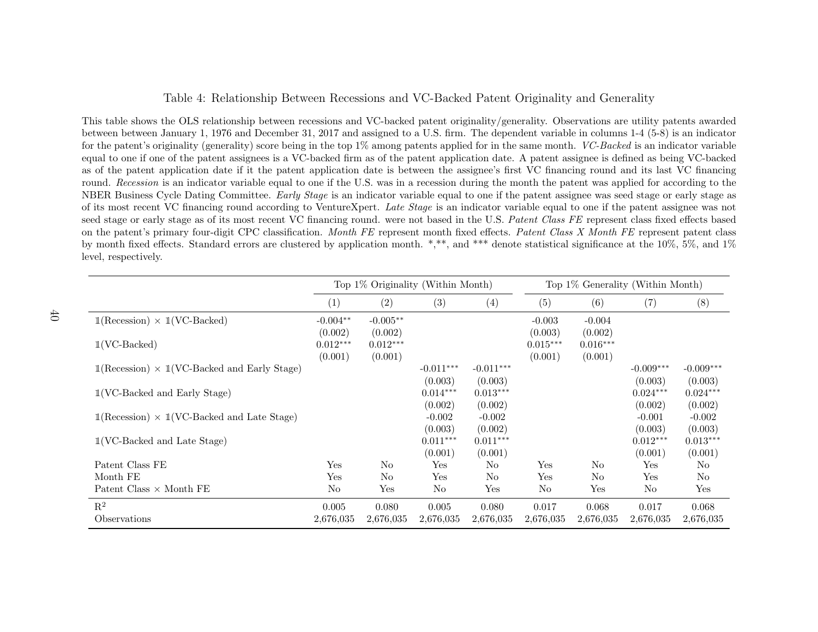### Table 4: Relationship Between Recessions and VC-Backed Patent Originality and Generality

This table shows the OLS relationship between recessions and VC-backed patent originality/generality. Observations are utility patents awarded between between January 1, <sup>1976</sup> and December 31, <sup>2017</sup> and assigned to <sup>a</sup> U.S. firm. The dependent variable in columns 1-4 (5-8) is an indicatorfor the patent's originality (generality) score being in the top  $1\%$  among patents applied for in the same month. *VC-Backed* is an indicator variable equal to one if one of the patent assignees is <sup>a</sup> VC-backed firm as of the patent application date. A patent assignee is defined as being VC-backed as of the patent application date if it the patent application date is between the assignee's first VC financing round and its last VC financinground. Recession is an indicator variable equal to one if the U.S. was in a recession during the month the patent was applied for according to the NBER Business Cycle Dating Committee. *Early Stage* is an indicator variable equal to one if the patent assignee was seed stage or early stage as of its most recent VC financing round according to VentureXpert. Late Stage is an indicator variable equal to one if the patent assignee was not seed stage or early stage as of its most recent VC financing round. were not based in the U.S. Patent Class FE represent class fixed effects based on the patent's primary four-digit CPC classification. Month FE represent month fixed effects. Patent Class X Month FE represent patent class by month fixed effects. Standard errors are clustered by application month. \*,\*\*, and \*\*\* denote statistical significance at the 10%, 5%, and 1%level, respectively.

<span id="page-41-0"></span>

|                                                                                    |                       | Top 1% Originality (Within Month) |                        |                        |                       |                       | Top 1% Generality (Within Month) |                        |
|------------------------------------------------------------------------------------|-----------------------|-----------------------------------|------------------------|------------------------|-----------------------|-----------------------|----------------------------------|------------------------|
|                                                                                    | (1)                   | (2)                               | (3)                    | (4)                    | (5)                   | (6)                   | (7)                              | (8)                    |
| $\mathbb{1}(\text{Recession}) \times \mathbb{1}(\text{VC-Backed})$                 | $-0.004**$<br>(0.002) | $-0.005**$<br>(0.002)             |                        |                        | $-0.003$<br>(0.003)   | $-0.004$<br>(0.002)   |                                  |                        |
| $1(VC\text{-Backed})$                                                              | $0.012***$<br>(0.001) | $0.012***$<br>(0.001)             |                        |                        | $0.015***$<br>(0.001) | $0.016***$<br>(0.001) |                                  |                        |
| $\mathbb{1}(\text{Recession}) \times \mathbb{1}(\text{VC-Backed and Early Stage})$ |                       |                                   | $-0.011***$<br>(0.003) | $-0.011***$<br>(0.003) |                       |                       | $-0.009***$<br>(0.003)           | $-0.009***$<br>(0.003) |
| $1$ (VC-Backed and Early Stage)                                                    |                       |                                   | $0.014***$<br>(0.002)  | $0.013***$<br>(0.002)  |                       |                       | $0.024***$<br>(0.002)            | $0.024***$<br>(0.002)  |
| $\mathbb{1}(\text{Recession}) \times \mathbb{1}(\text{VC-Backed and Late Stage})$  |                       |                                   | $-0.002$<br>(0.003)    | $-0.002$<br>(0.002)    |                       |                       | $-0.001$<br>(0.003)              | $-0.002$<br>(0.003)    |
| $1$ (VC-Backed and Late Stage)                                                     |                       |                                   | $0.011***$<br>(0.001)  | $0.011***$<br>(0.001)  |                       |                       | $0.012***$<br>(0.001)            | $0.013***$<br>(0.001)  |
| Patent Class FE                                                                    | Yes                   | N <sub>o</sub>                    | Yes                    | N <sub>o</sub>         | Yes                   | $\rm No$              | Yes                              | No                     |
| Month FE                                                                           | Yes                   | $\rm No$                          | Yes                    | $\rm No$               | Yes                   | No                    | Yes                              | $\rm No$               |
| Patent Class $\times$ Month FE                                                     | No                    | Yes                               | No                     | Yes                    | No                    | Yes                   | No                               | Yes                    |
| $R^2$                                                                              | 0.005                 | 0.080                             | 0.005                  | 0.080                  | 0.017                 | 0.068                 | 0.017                            | 0.068                  |
| Observations                                                                       | 2,676,035             | 2,676,035                         | 2,676,035              | 2,676,035              | 2,676,035             | 2,676,035             | 2,676,035                        | 2,676,035              |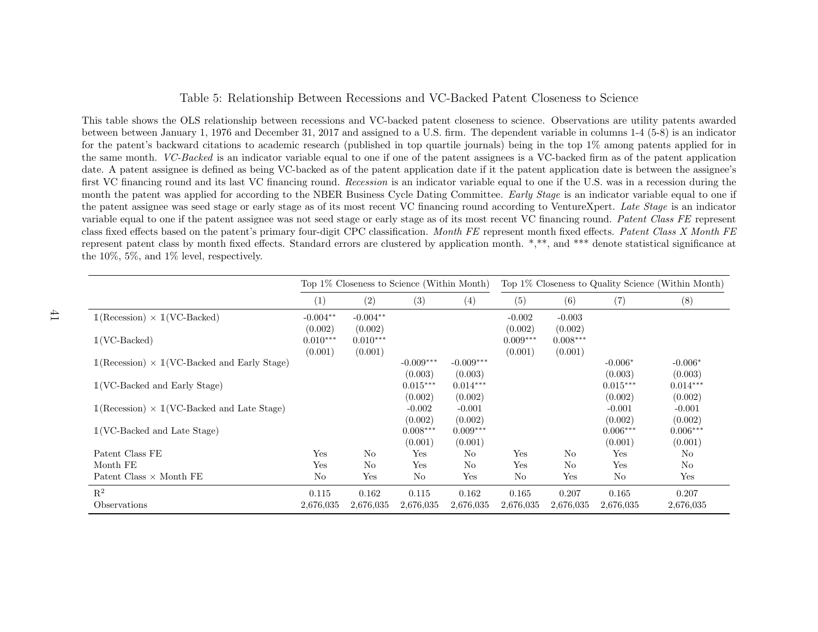### Table 5: Relationship Between Recessions and VC-Backed Patent Closeness to Science

This table shows the OLS relationship between recessions and VC-backed patent closeness to science. Observations are utility patents awarded between between January 1, <sup>1976</sup> and December 31, <sup>2017</sup> and assigned to <sup>a</sup> U.S. firm. The dependent variable in columns 1-4 (5-8) is an indicator for the patent's backward citations to academic research (published in top quartile journals) being in the top 1% among patents applied for in the same month. VC-Backed is an indicator variable equa<sup>l</sup> to one if one of the patent assignees is <sup>a</sup> VC-backed firm as of the patent application date. A patent assignee is defined as being VC-backed as of the patent application date if it the patent application date is between the assignee'sfirst VC financing round and its last VC financing round. Recession is an indicator variable equal to one if the U.S. was in a recession during the month the patent was applied for according to the NBER Business Cycle Dating Committee. *Early Stage* is an indicator variable equal to one if the patent assignee was seed stage or early stage as of its most recent VC financing round according to VentureXpert. *Late Stage* is an indicator variable equal to one if the patent assignee was not seed stage or early stage as of its most recent VC financing round. Patent Class FE represent class fixed effects based on the patent's primary four-digit CPC classification. Month FE represent month fixed effects. Patent Class X Month FE represent patent class by month fixed effects. Standard errors are clustered by application month. \*,\*\*, and \*\*\* denote statistical significance atthe 10%, 5%, and 1% level, respectively.

<span id="page-42-0"></span>

|                                                                                    | Top 1\% Closeness to Science (Within Month) |                       |                        |                        |                       |                       |                       | Top 1% Closeness to Quality Science (Within Month) |
|------------------------------------------------------------------------------------|---------------------------------------------|-----------------------|------------------------|------------------------|-----------------------|-----------------------|-----------------------|----------------------------------------------------|
|                                                                                    | (1)                                         | (2)                   | (3)                    | (4)                    | (5)                   | (6)                   | (7)                   | (8)                                                |
| $\mathbb{1}(\text{Recession}) \times \mathbb{1}(\text{VC-Backed})$                 | $-0.004**$<br>(0.002)                       | $-0.004**$<br>(0.002) |                        |                        | $-0.002$<br>(0.002)   | $-0.003$<br>(0.002)   |                       |                                                    |
| $1(VC\text{-Backed})$                                                              | $0.010***$<br>(0.001)                       | $0.010***$<br>(0.001) |                        |                        | $0.009***$<br>(0.001) | $0.008***$<br>(0.001) |                       |                                                    |
| $\mathbb{1}(\text{Recession}) \times \mathbb{1}(\text{VC-Backed and Early Stage})$ |                                             |                       | $-0.009***$<br>(0.003) | $-0.009***$<br>(0.003) |                       |                       | $-0.006*$<br>(0.003)  | $-0.006*$<br>(0.003)                               |
| $1$ (VC-Backed and Early Stage)                                                    |                                             |                       | $0.015***$<br>(0.002)  | $0.014***$<br>(0.002)  |                       |                       | $0.015***$<br>(0.002) | $0.014***$<br>(0.002)                              |
| $\mathbb{1}(\text{Recession}) \times \mathbb{1}(\text{VC-Backed and Late Stage})$  |                                             |                       | $-0.002$<br>(0.002)    | $-0.001$<br>(0.002)    |                       |                       | $-0.001$<br>(0.002)   | $-0.001$<br>(0.002)                                |
| $1$ (VC-Backed and Late Stage)                                                     |                                             |                       | $0.008***$<br>(0.001)  | $0.009***$<br>(0.001)  |                       |                       | $0.006***$<br>(0.001) | $0.006***$<br>(0.001)                              |
| Patent Class FE                                                                    | Yes                                         | N <sub>o</sub>        | Yes                    | No                     | Yes                   | No                    | Yes                   | N <sub>o</sub>                                     |
| Month FE                                                                           | Yes                                         | No                    | Yes                    | N <sub>0</sub>         | Yes                   | No                    | Yes                   | N <sub>o</sub>                                     |
| Patent Class $\times$ Month FE                                                     | N <sub>o</sub>                              | Yes                   | No                     | Yes                    | N <sub>o</sub>        | Yes                   | N <sub>o</sub>        | Yes                                                |
| $\mathbf{R}^2$                                                                     | 0.115                                       | 0.162                 | 0.115                  | 0.162                  | 0.165                 | 0.207                 | 0.165                 | 0.207                                              |
| Observations                                                                       | 2,676,035                                   | 2,676,035             | 2,676,035              | 2,676,035              | 2,676,035             | 2,676,035             | 2,676,035             | 2,676,035                                          |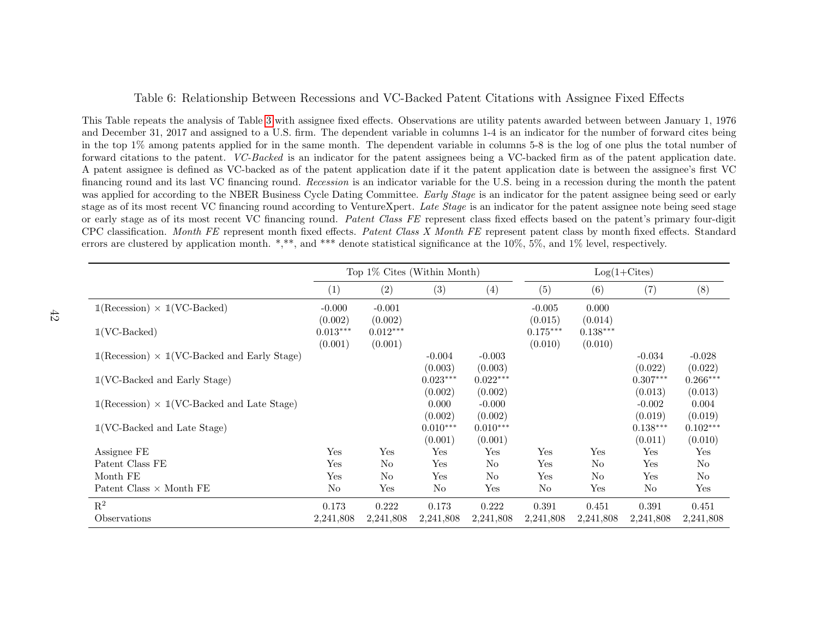#### Table 6: Relationship Between Recessions and VC-Backed Patent Citations with Assignee Fixed Effects

This Table repeats the analysis of Table [3](#page-40-1) with assignee fixed effects. Observations are utility patents awarded between between January 1, 1976 and December 31, 2017 and assigned to <sup>a</sup> U.S. firm. The dependent variable in columns 1-4 is an indicator for the number of forward cites being in the top 1% among patents applied for in the same month. The dependent variable in columns 5-8 is the log of one <sup>p</sup>lus the total number offorward citations to the patent. *VC-Backed* is an indicator for the patent assignees being a VC-backed firm as of the patent application date. A patent assignee is defined as VC-backed as of the patent application date if it the patent application date is between the assignee's first VCfinancing round and its last VC financing round. Recession is an indicator variable for the U.S. being in a recession during the month the patent was applied for according to the NBER Business Cycle Dating Committee. *Early Stage* is an indicator for the patent assignee being seed or early stage as of its most recent VC financing round according to VentureXpert. *Late Stage* is an indicator for the patent assignee note being seed stage or early stage as of its most recent VC financing round. Patent Class FE represent class fixed effects based on the patent's primary four-digit CPC classification. Month FE represent month fixed effects. Patent Class X Month FE represent patent class by month fixed effects. Standard errors are clustered by application month. \*,\*\*, and \*\*\* denote statistical significance at the 10%, 5%, and 1% level, respectively.

<span id="page-43-0"></span>

|                                                                                    |                                  | Top 1% Cites (Within Month)      |                             |                                |                                  |                                  | $Log(1+Cites)$                 |                             |
|------------------------------------------------------------------------------------|----------------------------------|----------------------------------|-----------------------------|--------------------------------|----------------------------------|----------------------------------|--------------------------------|-----------------------------|
|                                                                                    | $\left( 1\right)$                | (2)                              | (3)                         | (4)                            | (5)                              | (6)                              | (7)                            | (8)                         |
| $\mathbb{1}(\text{Recession}) \times \mathbb{1}(\text{VC-Backed})$                 | $-0.000$                         | $-0.001$                         |                             |                                | $-0.005$                         | 0.000                            |                                |                             |
| $1(VC\text{-Backed})$                                                              | (0.002)<br>$0.013***$<br>(0.001) | (0.002)<br>$0.012***$<br>(0.001) |                             |                                | (0.015)<br>$0.175***$<br>(0.010) | (0.014)<br>$0.138***$<br>(0.010) |                                |                             |
| $\mathbb{1}(\text{Recession}) \times \mathbb{1}(\text{VC-Backed and Early Stage})$ |                                  |                                  | $-0.004$<br>(0.003)         | $-0.003$<br>(0.003)            |                                  |                                  | $-0.034$<br>(0.022)            | $-0.028$<br>(0.022)         |
| $1$ (VC-Backed and Early Stage)                                                    |                                  |                                  | $0.023***$                  | $0.022***$                     |                                  |                                  | $0.307***$                     | $0.266***$                  |
| $\mathbb{1}(\text{Recession}) \times \mathbb{1}(\text{VC-Backed and Late Stage})$  |                                  |                                  | (0.002)<br>0.000<br>(0.002) | (0.002)<br>$-0.000$<br>(0.002) |                                  |                                  | (0.013)<br>$-0.002$<br>(0.019) | (0.013)<br>0.004<br>(0.019) |
| $1$ (VC-Backed and Late Stage)                                                     |                                  |                                  | $0.010***$<br>(0.001)       | $0.010***$<br>(0.001)          |                                  |                                  | $0.138***$<br>(0.011)          | $0.102***$<br>(0.010)       |
| Assignee FE                                                                        | Yes                              | Yes                              | Yes                         | Yes                            | Yes                              | Yes                              | Yes                            | Yes                         |
| Patent Class FE                                                                    | Yes                              | N <sub>o</sub>                   | Yes                         | N <sub>o</sub>                 | Yes                              | N <sub>o</sub>                   | Yes                            | N <sub>o</sub>              |
| Month FE                                                                           | Yes                              | N <sub>o</sub>                   | Yes                         | N <sub>o</sub>                 | Yes                              | No.                              | Yes                            | No                          |
| Patent Class $\times$ Month FE                                                     | No                               | Yes                              | No                          | Yes                            | No                               | Yes                              | No                             | Yes                         |
| $R^2$                                                                              | 0.173                            | 0.222                            | 0.173                       | 0.222                          | 0.391                            | 0.451                            | 0.391                          | 0.451                       |
| Observations                                                                       | 2,241,808                        | 2,241,808                        | 2,241,808                   | 2,241,808                      | 2,241,808                        | 2,241,808                        | 2,241,808                      | 2,241,808                   |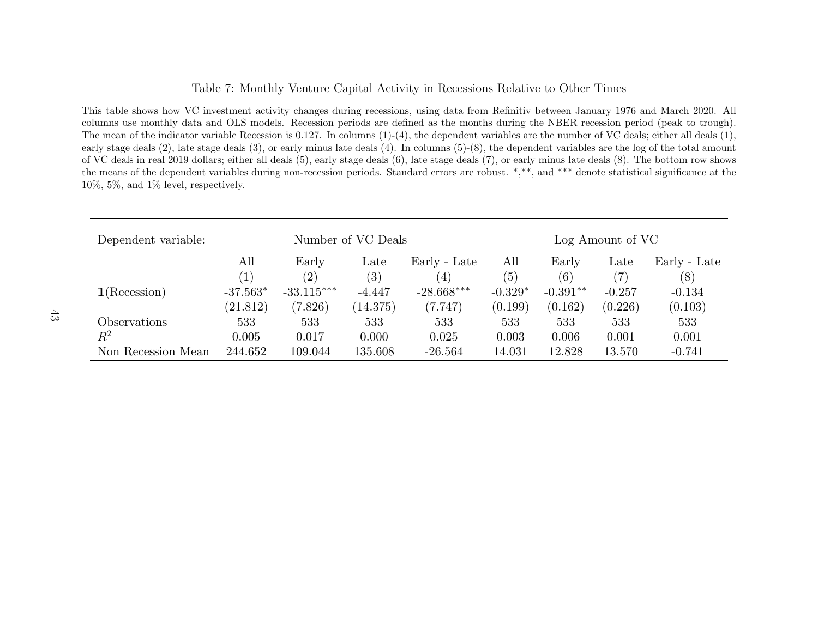### <span id="page-44-0"></span>Table 7: Monthly Venture Capital Activity in Recessions Relative to Other Times

This table shows how VC investment activity changes during recessions, using data from Refinitiv between January 1976 and March 2020. All columns use monthly data and OLS models. Recession periods are defined as the months during the NBER recession period (peak to trough). The mean of the indicator variable Recession is 0.127. In columns (1)-(4), the dependent variables are the number of VC deals; either all deals (1), early stage deals (2), late stage deals (3), or early minus late deals (4). In columns (5)-(8), the dependent variables are the log of the total amount of VC deals in real <sup>2019</sup> dollars; either all deals (5), early stage deals (6), late stage deals (7), or early minus late deals (8). The bottom row shows the means of the dependent variables during non-recession periods. Standard errors are robust. \*,\*\*, and \*\*\* denote statistical significance at the10%, 5%, and 1% level, respectively.

| Dependent variable: |                  | Number of VC Deals |                   |                  |           | Log Amount of VC |               |              |
|---------------------|------------------|--------------------|-------------------|------------------|-----------|------------------|---------------|--------------|
|                     | All              | Early              | Late              | Early - Late     | All       | Early            | $_{\rm Late}$ | Early - Late |
|                     | $\left  \right $ | $\left( 2\right)$  | $\left( 3\right)$ | $\left(4\right)$ | (5)       | (6)              | $^{\prime}7)$ | (8)          |
| 1(Recession)        | $-37.563*$       | $-33.115***$       | $-4.447$          | $-28.668***$     | $-0.329*$ | $-0.391**$       | $-0.257$      | $-0.134$     |
|                     | (21.812)         | (7.826)            | (14.375)          | (7.747)          | (0.199)   | (0.162)          | (0.226)       | (0.103)      |
| <i>Observations</i> | 533              | 533                | 533               | 533              | 533       | 533              | 533           | 533          |
| $\mathbb{R}^2$      | 0.005            | 0.017              | 0.000             | 0.025            | 0.003     | 0.006            | 0.001         | 0.001        |
| Non Recession Mean  | 244.652          | 109.044            | 135.608           | $-26.564$        | 14.031    | 12.828           | 13.570        | $-0.741$     |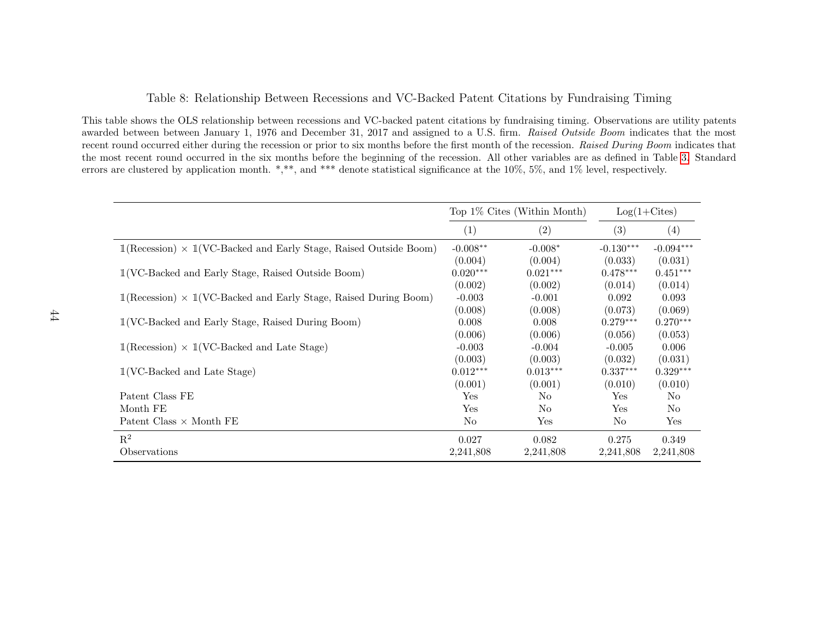### Table 8: Relationship Between Recessions and VC-Backed Patent Citations by Fundraising Timing

This table shows the OLS relationship between recessions and VC-backed patent citations by fundraising timing. Observations are utility patentsawarded between between January 1, 1976 and December 31, 2017 and assigned to a U.S. firm. Raised Outside Boom indicates that the most recent round occurred either during the recession or prior to six months before the first month of the recession. Raised During Boom indicates that<br>the west recent recent council in the six weaths hefers the heritorian of the most recent round occurred in the six months before the beginning of the recession. All other variables are as defined in Table [3.](#page-40-1) Standarderrors are clustered by application month. \*,\*\*, and \*\*\* denote statistical significance at the 10%, 5%, and 1% level, respectively.

<span id="page-45-0"></span>

|                                                                                                               |            | Top 1\% Cites (Within Month) |             | $Log(1+Cites)$ |
|---------------------------------------------------------------------------------------------------------------|------------|------------------------------|-------------|----------------|
|                                                                                                               | (1)        | (2)                          | (3)         | (4)            |
| $\mathbb{1}(\text{Recession}) \times \mathbb{1}(\text{VC-Backed and Early Stage},\text{Raised Outside Room})$ | $-0.008**$ | $-0.008*$                    | $-0.130***$ | $-0.094***$    |
|                                                                                                               | (0.004)    | (0.004)                      | (0.033)     | (0.031)        |
| $1$ (VC-Backed and Early Stage, Raised Outside Boom)                                                          | $0.020***$ | $0.021***$                   | $0.478***$  | $0.451***$     |
|                                                                                                               | (0.002)    | (0.002)                      | (0.014)     | (0.014)        |
| $1(\text{Recession}) \times 1(\text{VC-Backed and Early Stage},\text{Raised During Room})$                    | $-0.003$   | $-0.001$                     | 0.092       | 0.093          |
|                                                                                                               | (0.008)    | (0.008)                      | (0.073)     | (0.069)        |
| $1(\text{VC-Backed and Early Stage},\text{Raised During Room})$                                               | 0.008      | 0.008                        | $0.279***$  | $0.270***$     |
|                                                                                                               | (0.006)    | (0.006)                      | (0.056)     | (0.053)        |
| $\mathbb{1}(\text{Recession}) \times \mathbb{1}(\text{VC-Backed and Late Stage})$                             | $-0.003$   | $-0.004$                     | $-0.005$    | 0.006          |
|                                                                                                               | (0.003)    | (0.003)                      | (0.032)     | (0.031)        |
| $1$ (VC-Backed and Late Stage)                                                                                | $0.012***$ | $0.013***$                   | $0.337***$  | $0.329***$     |
|                                                                                                               | (0.001)    | (0.001)                      | (0.010)     | (0.010)        |
| Patent Class FE                                                                                               | Yes        | No                           | Yes         | N <sub>o</sub> |
| Month FE                                                                                                      | Yes        | No                           | Yes         | No             |
| Patent Class $\times$ Month FE                                                                                | No         | ${\rm Yes}$                  | No          | Yes            |
| $R^2$                                                                                                         | 0.027      | 0.082                        | 0.275       | 0.349          |
| Observations                                                                                                  | 2,241,808  | 2,241,808                    | 2,241,808   | 2,241,808      |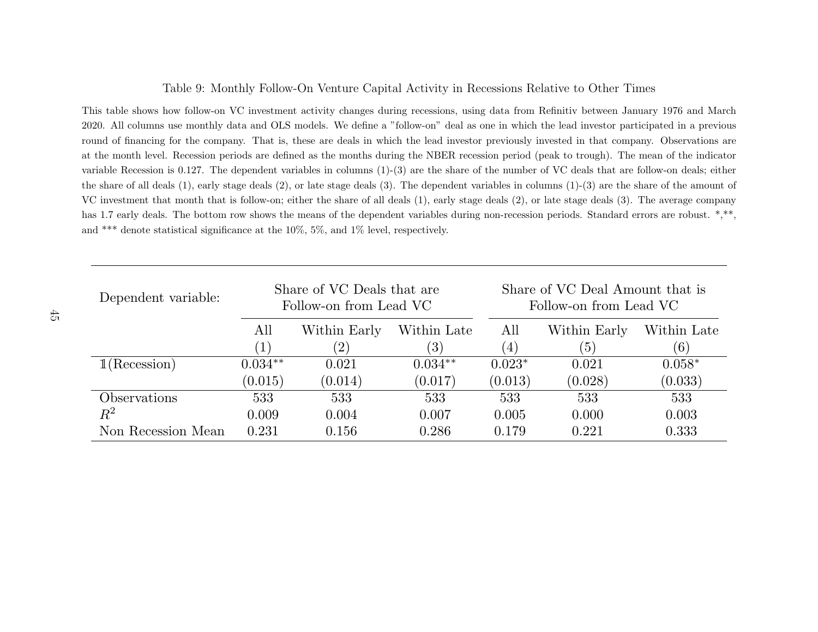### Table 9: Monthly Follow-On Venture Capital Activity in Recessions Relative to Other Times

This table shows how follow-on VC investment activity changes during recessions, using data from Refinitiv between January 1976 and March2020. All columns use monthly data and OLS models. We define <sup>a</sup> "follow-on" deal as one in which the lead investor participated in <sup>a</sup> previousround of financing for the company. That is, these are deals in which the lead investor previously invested in that company. Observations are at the month level. Recession periods are defined as the months during the NBER recession period (peak to trough). The mean of the indicatorvariable Recession is 0.127. The dependent variables in columns (1)-(3) are the share of the number of VC deals that are follow-on deals; eitherthe share of all deals (1), early stage deals (2), or late stage deals (3). The dependent variables in columns (1)-(3) are the share of the amount ofVC investment that month that is follow-on; either the share of all deals (1), early stage deals (2), or late stage deals (3). The average companyhas 1.7 early deals. The bottom row shows the means of the dependent variables during non-recession periods. Standard errors are robust. \*,\*\*, and \*\*\* denote statistical significance at the 10%, 5%, and 1% level, respectively.

<span id="page-46-0"></span>

| Dependent variable: |                        | Share of VC Deals that are<br>Follow-on from Lead VC |             |                  | Share of VC Deal Amount that is<br>Follow-on from Lead VC |             |  |
|---------------------|------------------------|------------------------------------------------------|-------------|------------------|-----------------------------------------------------------|-------------|--|
|                     | All                    | Within Early                                         | Within Late | All              | Within Early                                              | Within Late |  |
|                     | $\left 1\right\rangle$ | $^{\prime}2)$                                        | (3)         | $\left(4\right)$ | (5)                                                       | (6)         |  |
| 1(Recession)        | $0.034**$              | 0.021                                                | $0.034**$   | $0.023*$         | 0.021                                                     | $0.058*$    |  |
|                     | (0.015)                | (0.014)                                              | (0.017)     | (0.013)          | (0.028)                                                   | (0.033)     |  |
| Observations        | 533                    | 533                                                  | 533         | 533              | 533                                                       | 533         |  |
| $\,R^2$             | 0.009                  | 0.004                                                | 0.007       | 0.005            | 0.000                                                     | 0.003       |  |
| Non Recession Mean  | 0.231                  | 0.156                                                | 0.286       | 0.179            | 0.221                                                     | 0.333       |  |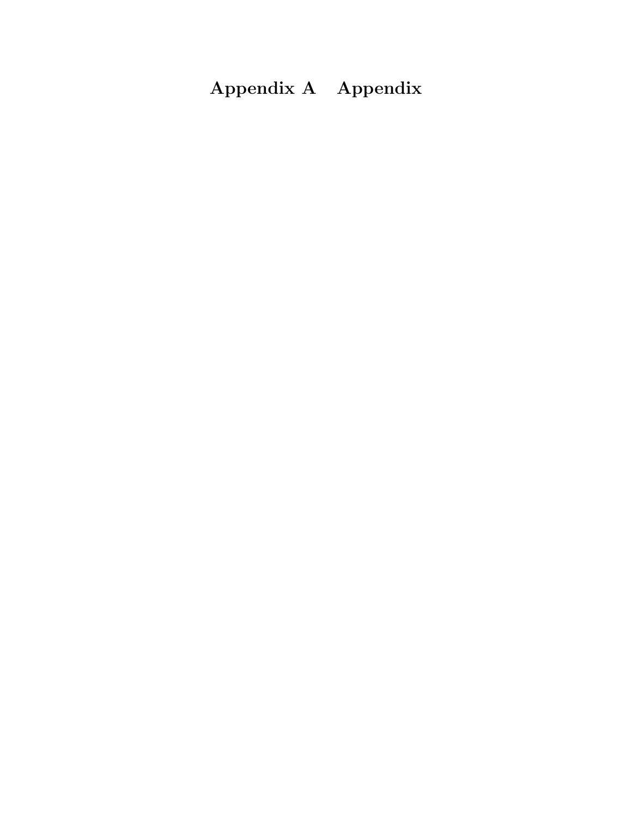# Appendix A Appendix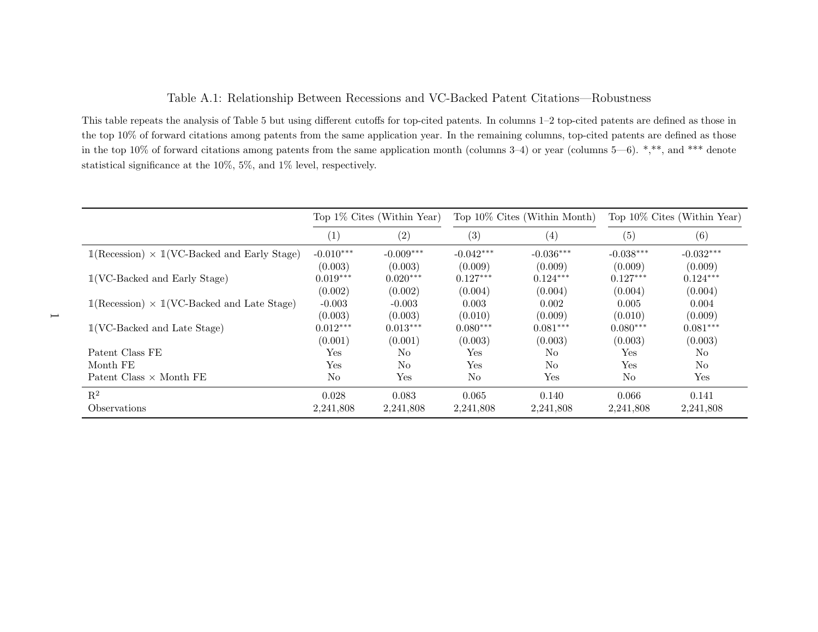### Table A.1: Relationship Between Recessions and VC-Backed Patent Citations—Robustness

This table repeats the analysis of Table 5 but using different cutoffs for top-cited patents. In columns 1–2 top-cited patents are defined as those in the top 10% of forward citations among patents from the same application year. In the remaining columns, top-cited patents are defined as those in the top 10% of forward citations among patents from the same application month (columns 3–4) or year (columns 5—6). \*,\*\*, and \*\*\* denotestatistical significance at the 10%, 5%, and 1% level, respectively.

<span id="page-48-0"></span>

|                                                                                    | Top $1\%$ Cites (Within Year) |                | Top 10% Cites (Within Month) |                |                | Top $10\%$ Cites (Within Year) |
|------------------------------------------------------------------------------------|-------------------------------|----------------|------------------------------|----------------|----------------|--------------------------------|
|                                                                                    | (1)                           | (2)            | (3)                          | (4)            | (5)            | (6)                            |
| $\mathbb{1}(\text{Recession}) \times \mathbb{1}(\text{VC-Backed and Early Stage})$ | $-0.010***$                   | $-0.009***$    | $-0.042***$                  | $-0.036***$    | $-0.038***$    | $-0.032***$                    |
|                                                                                    | (0.003)                       | (0.003)        | (0.009)                      | (0.009)        | (0.009)        | (0.009)                        |
| $1(\text{VC-Backed and Early Stage})$                                              | $0.019***$                    | $0.020***$     | $0.127***$                   | $0.124***$     | $0.127***$     | $0.124***$                     |
|                                                                                    | (0.002)                       | (0.002)        | (0.004)                      | (0.004)        | (0.004)        | (0.004)                        |
| $\mathbb{1}(\text{Recession}) \times \mathbb{1}(\text{VC-Backed and Late Stage})$  | $-0.003$                      | $-0.003$       | 0.003                        | 0.002          | 0.005          | 0.004                          |
|                                                                                    | (0.003)                       | (0.003)        | (0.010)                      | (0.009)        | (0.010)        | (0.009)                        |
| $1$ (VC-Backed and Late Stage)                                                     | $0.012***$                    | $0.013***$     | $0.080***$                   | $0.081***$     | $0.080***$     | $0.081***$                     |
|                                                                                    | (0.001)                       | (0.001)        | (0.003)                      | (0.003)        | (0.003)        | (0.003)                        |
| Patent Class FE                                                                    | Yes                           | No.            | $\operatorname{Yes}$         | N <sub>o</sub> | Yes            | No.                            |
| Month FE                                                                           | Yes                           | N <sub>o</sub> | Yes                          | N <sub>o</sub> | Yes            | No                             |
| Patent Class $\times$ Month FE                                                     | No                            | Yes            | No                           | Yes            | N <sub>o</sub> | Yes                            |
| $\mathbf{R}^2$                                                                     | 0.028                         | 0.083          | 0.065                        | 0.140          | 0.066          | 0.141                          |
| <i>Observations</i>                                                                | 2,241,808                     | 2,241,808      | 2,241,808                    | 2,241,808      | 2,241,808      | 2,241,808                      |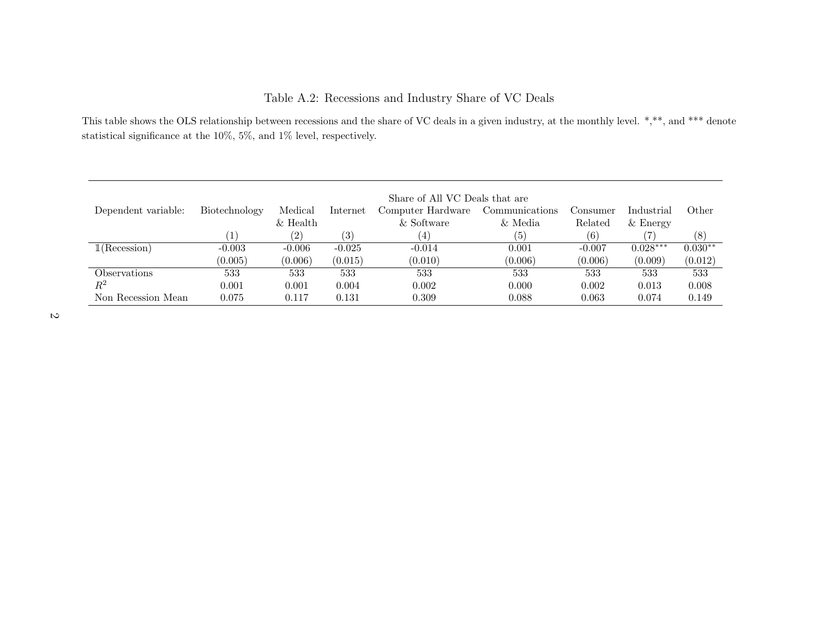# Table A.2: Recessions and Industry Share of VC Deals

This table shows the OLS relationship between recessions and the share of VC deals in <sup>a</sup> <sup>g</sup>iven industry, at the monthly level. \*,\*\*, and \*\*\* denotestatistical significance at the 10%, 5%, and 1% level, respectively.

<span id="page-49-0"></span>

|                     | Share of All VC Deals that are |                   |          |                   |                |          |            |             |  |  |  |
|---------------------|--------------------------------|-------------------|----------|-------------------|----------------|----------|------------|-------------|--|--|--|
| Dependent variable: | Biotechnology                  | Medical           | Internet | Computer Hardware | Communications | Consumer | Industrial | $\rm Other$ |  |  |  |
|                     |                                | $\&$ Health       |          | & Software        | & Media        | Related  | $&$ Energy |             |  |  |  |
|                     |                                | $\left( 2\right)$ | (3)      | .4)               | (5)            | (6)      |            | (8)         |  |  |  |
| 1(Recession)        | $-0.003$                       | $-0.006$          | $-0.025$ | $-0.014$          | 0.001          | $-0.007$ | $0.028***$ | $0.030**$   |  |  |  |
|                     | (0.005)                        | (0.006)           | (0.015)  | (0.010)           | (0.006)        | (0.006)  | (0.009)    | (0.012)     |  |  |  |
| Observations        | 533                            | 533               | 533      | 533               | 533            | 533      | 533        | 533         |  |  |  |
| $\,R^2$             | 0.001                          | 0.001             | 0.004    | 0.002             | 0.000          | 0.002    | 0.013      | 0.008       |  |  |  |
| Non Recession Mean  | 0.075                          | 0.117             | 0.131    | 0.309             | 0.088          | 0.063    | 0.074      | 0.149       |  |  |  |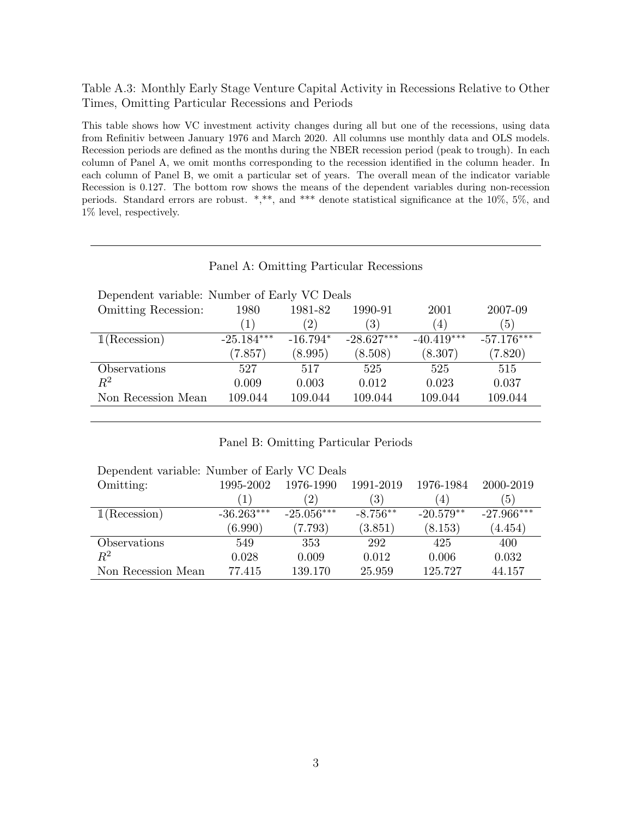### <span id="page-50-0"></span>Table A.3: Monthly Early Stage Venture Capital Activity in Recessions Relative to Other Times, Omitting Particular Recessions and Periods

This table shows how VC investment activity changes during all but one of the recessions, using data from Refinitiv between January 1976 and March 2020. All columns use monthly data and OLS models. Recession periods are defined as the months during the NBER recession period (peak to trough). In each column of Panel A, we omit months corresponding to the recession identified in the column header. In each column of Panel B, we omit a particular set of years. The overall mean of the indicator variable Recession is 0.127. The bottom row shows the means of the dependent variables during non-recession periods. Standard errors are robust. \*,\*\*, and \*\*\* denote statistical significance at the 10%, 5%, and 1% level, respectively.

### Panel A: Omitting Particular Recessions

| Dependent variable: Number of Early VC Deals |                  |            |               |                  |              |  |  |  |  |
|----------------------------------------------|------------------|------------|---------------|------------------|--------------|--|--|--|--|
| <b>Omitting Recession:</b>                   | 1980             | 1981-82    | 1990-91       | 2001             | 2007-09      |  |  |  |  |
|                                              | $\left(1\right)$ | (2)        | $^{\prime}3)$ | $\left(4\right)$ | (5)          |  |  |  |  |
| 1(Recession)                                 | $-25.184***$     | $-16.794*$ | $-28.627***$  | $-40.419***$     | $-57.176***$ |  |  |  |  |
|                                              | (7.857)          | (8.995)    | (8.508)       | (8.307)          | (7.820)      |  |  |  |  |
| Observations                                 | 527              | 517        | 525           | 525              | 515          |  |  |  |  |
| $R^2$                                        | 0.009            | 0.003      | 0.012         | 0.023            | 0.037        |  |  |  |  |
| Non Recession Mean                           | 109.044          | 109.044    | 109.044       | 109.044          | 109.044      |  |  |  |  |
|                                              |                  |            |               |                  |              |  |  |  |  |

### Panel B: Omitting Particular Periods

| Dependent variable: Number of Early VC Deals |              |                   |                  |                  |                  |
|----------------------------------------------|--------------|-------------------|------------------|------------------|------------------|
| Omitting:                                    | 1995-2002    | 1976-1990         | 1991-2019        | 1976-1984        | 2000-2019        |
|                                              | (1)          | $\left( 2\right)$ | $\left(3\right)$ | $\left(4\right)$ | $\left(5\right)$ |
| 1(Recession)                                 | $-36.263***$ | $-25.056***$      | $-8.756**$       | $-20.579**$      | $-27.966***$     |
|                                              | (6.990)      | (7.793)           | (3.851)          | (8.153)          | (4.454)          |
| Observations                                 | 549          | 353               | 292              | 425              | 400              |
| $R^2$                                        | 0.028        | 0.009             | 0.012            | 0.006            | 0.032            |
| Non Recession Mean                           | 77.415       | 139.170           | 25.959           | 125.727          | 44.157           |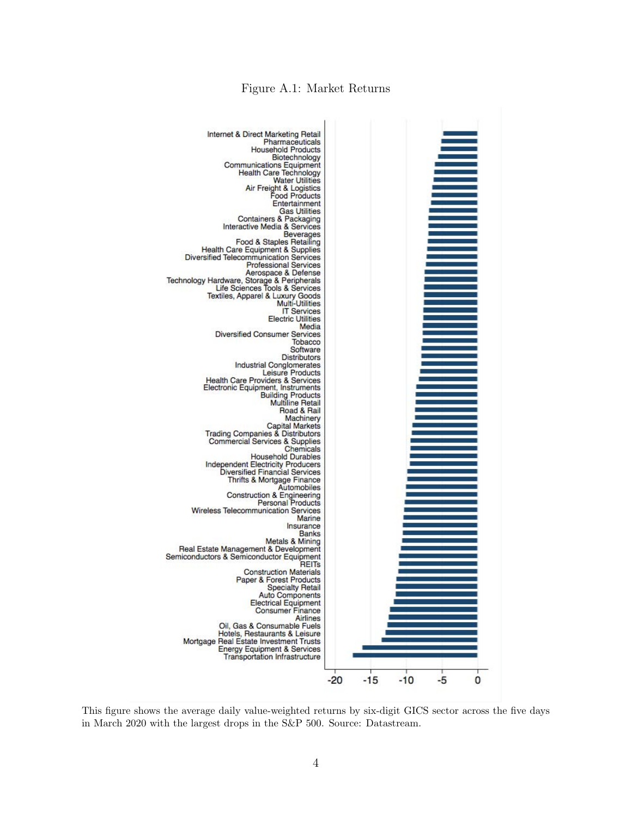

<span id="page-51-0"></span>

This figure shows the average daily value-weighted returns by six-digit GICS sector across the five days in March 2020 with the largest drops in the S&P 500. Source: Datastream.